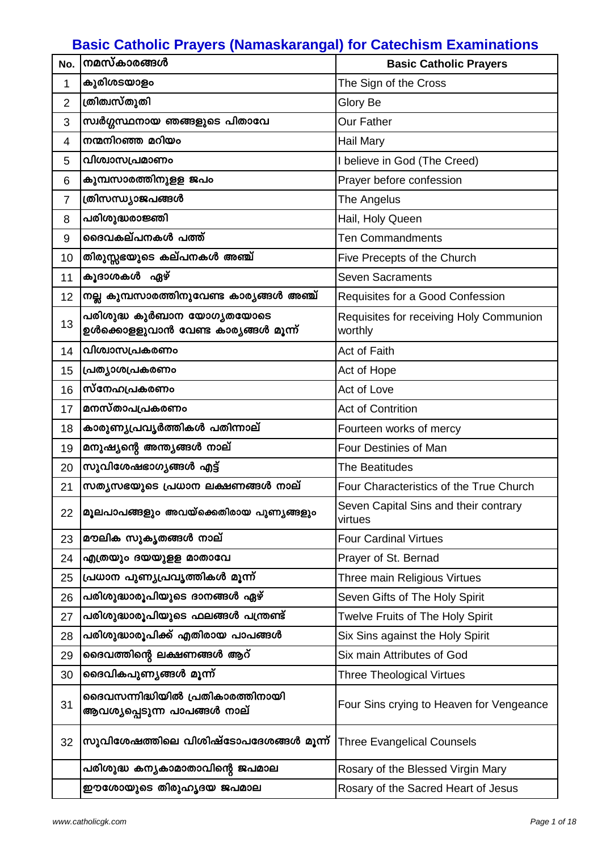## **Basic Catholic Prayers (Namaskarangal) for Catechism Examinations**

| No.            | നമസ്കാരങ്ങൾ                                                       | <b>Basic Catholic Prayers</b>                      |
|----------------|-------------------------------------------------------------------|----------------------------------------------------|
| 1              | കുരിശടയാളം                                                        | The Sign of the Cross                              |
| $\overline{2}$ | ത്രിത്വസ്തുതി                                                     | Glory Be                                           |
| 3              | സ്വർഗ്ഗസ്ഥനായ ഞങ്ങളുടെ പിതാവേ                                     | <b>Our Father</b>                                  |
| 4              | നന്മനിറഞ്ഞ മറിയം                                                  | <b>Hail Mary</b>                                   |
| 5              | വിശ്വാസപ്രമാണം                                                    | I believe in God (The Creed)                       |
| 6              | കുമ്പസാരത്തിനുളള ജപം                                              | Prayer before confession                           |
| 7              | ത്രിസന്ധ്യാജപങ്ങൾ                                                 | The Angelus                                        |
| 8              | പരിശുദ്ധരാജ്ഞി                                                    | Hail, Holy Queen                                   |
| 9              | ദൈവകല്പനകൾ പത്ത്                                                  | <b>Ten Commandments</b>                            |
| 10             | തിരുസ്സഭയുടെ കല്പനകൾ അഞ്ച്                                        | Five Precepts of the Church                        |
| 11             | കൂദാശകൾ ഏഴ്                                                       | <b>Seven Sacraments</b>                            |
| 12             | നല്ല കുമ്പസാരത്തിനുവേണ്ട കാര്യങ്ങൾ അഞ്ച്                          | Requisites for a Good Confession                   |
| 13             | പരിശുദ്ധ കുർബാന യോഗ്യതയോടെ<br>ഉൾക്കൊളളുവാൻ വേണ്ട കാര്യങ്ങൾ മൂന്ന് | Requisites for receiving Holy Communion<br>worthly |
| 14             | വിശ്വാസപ്രകരണം                                                    | Act of Faith                                       |
| 15             | പ്രത്യാശപ്രകരണം                                                   | Act of Hope                                        |
| 16             | സ്നേഹപ്രകരണം                                                      | Act of Love                                        |
| 17             | മനസ്താപപ്രകരണം                                                    | <b>Act of Contrition</b>                           |
| 18             | കാരുണ്യപ്രവൃർത്തികൾ പതിന്നാല്                                     | Fourteen works of mercy                            |
| 19             | മനുഷ്യന്റെ അന്ത്യങ്ങൾ നാല്                                        | Four Destinies of Man                              |
| 20             | സുവിശേഷഭാഗൃങ്ങൾ എട്ട്                                             | <b>The Beatitudes</b>                              |
| 21             | സത്യസഭയുടെ പ്രധാന ലക്ഷണങ്ങൾ നാല്                                  | Four Characteristics of the True Church            |
| 22             | മൂലപാപങ്ങളും അവയ്ക്കെതിരായ പുണ്യങ്ങളും                            | Seven Capital Sins and their contrary<br>virtues   |
| 23             | മൗലിക സുകൃതങ്ങൾ നാല്                                              | <b>Four Cardinal Virtues</b>                       |
| 24             | എത്രയും ദയയുളള മാതാവേ                                             | Prayer of St. Bernad                               |
| 25             | പ്രധാന പുണ്യപ്രവൃത്തികൾ മൂന്ന്                                    | Three main Religious Virtues                       |
| 26             | പരിശുദ്ധാരൂപിയുടെ ദാനങ്ങൾ ഏഴ്                                     | Seven Gifts of The Holy Spirit                     |
| 27             | പരിശുദ്ധാരൂപിയുടെ ഫലങ്ങൾ പന്ത്രണ്ട്                               | Twelve Fruits of The Holy Spirit                   |
| 28             | പരിശുദ്ധാരൂപിക്ക് എതിരായ പാപങ്ങൾ                                  | Six Sins against the Holy Spirit                   |
| 29             | ദൈവത്തിന്റെ ലക്ഷണങ്ങൾ ആറ്                                         | Six main Attributes of God                         |
| 30             | ദൈവികപുണ്യങ്ങൾ മൂന്ന്                                             | <b>Three Theological Virtues</b>                   |
| 31             | ദൈവസന്നിദ്ധിയിൽ പ്രതികാരത്തിനായി<br>ആവശ്യപ്പെടുന്ന പാപങ്ങൾ നാല്   | Four Sins crying to Heaven for Vengeance           |
| 32             | സുവിശേഷത്തിലെ വിശിഷ്ടോപദേശങ്ങൾ മൂന്ന്                             | <b>Three Evangelical Counsels</b>                  |
|                | പരിശുദ്ധ കന്യകാമാതാവിന്റെ ജപമാല                                   | Rosary of the Blessed Virgin Mary                  |
|                | ഈശോയുടെ തിരുഹൃദയ ജപമാല                                            | Rosary of the Sacred Heart of Jesus                |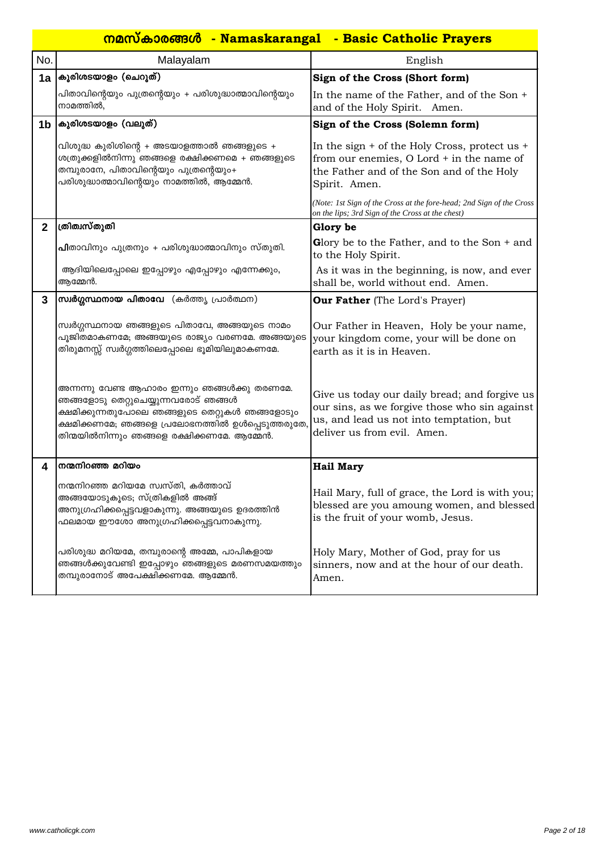|                | <u> നമസ്കാരങ്ങൾ - Namaskarangal - Basic Catholic Prayers</u>                                                                                                                                                                              |                                                                                                                                                                           |  |
|----------------|-------------------------------------------------------------------------------------------------------------------------------------------------------------------------------------------------------------------------------------------|---------------------------------------------------------------------------------------------------------------------------------------------------------------------------|--|
| No.            | Malayalam                                                                                                                                                                                                                                 | English                                                                                                                                                                   |  |
| 1a             | കുരിശടയാളം (ചെറുത്)                                                                                                                                                                                                                       | Sign of the Cross (Short form)                                                                                                                                            |  |
|                | പിതാവിന്റെയും പുത്രന്റെയും + പരിശുദ്ധാത്മാവിന്റെയും<br>നാമത്തിൽ,                                                                                                                                                                          | In the name of the Father, and of the Son +<br>and of the Holy Spirit. Amen.                                                                                              |  |
| 1 <sub>b</sub> | കുരിശടയാളം (വലുത്)                                                                                                                                                                                                                        | Sign of the Cross (Solemn form)                                                                                                                                           |  |
|                | വിശുദ്ധ കുരിശിന്റെ + അടയാളത്താൽ ഞങ്ങളുടെ +<br>ശത്രുക്കളിൽനിന്നു ഞങ്ങളെ രക്ഷിക്കണമെ + ഞങ്ങളുടെ<br>തമ്പുരാനേ, പിതാവിന്റെയും പുത്രന്റെയും+<br>പരിശുദ്ധാത്മാവിന്റെയും നാമത്തിൽ, ആമ്മേൻ.                                                       | In the sign $+$ of the Holy Cross, protect us $+$<br>from our enemies, O Lord + in the name of<br>the Father and of the Son and of the Holy<br>Spirit. Amen.              |  |
|                |                                                                                                                                                                                                                                           | (Note: 1st Sign of the Cross at the fore-head; 2nd Sign of the Cross<br>on the lips; 3rd Sign of the Cross at the chest)                                                  |  |
| $\mathbf{2}$   | ത്രിത്വസ്തുതി                                                                                                                                                                                                                             | Glory be                                                                                                                                                                  |  |
|                | പിതാവിനും പുത്രനും + പരിശുദ്ധാത്മാവിനും സ്തുതി.                                                                                                                                                                                           | Glory be to the Father, and to the Son $+$ and<br>to the Holy Spirit.                                                                                                     |  |
|                | ആദിയിലെപ്പോലെ ഇപ്പോഴും എപ്പോഴും എന്നേക്കും,<br>ആമ്മേൻ.                                                                                                                                                                                    | As it was in the beginning, is now, and ever<br>shall be, world without end. Amen.                                                                                        |  |
| 3              | സ്വർഗ്ഗസ്ഥനായ പിതാവേ (കർത്തൃ പ്രാർത്ഥന)                                                                                                                                                                                                   | <b>Our Father</b> (The Lord's Prayer)                                                                                                                                     |  |
|                | സ്വർഗ്ഗസ്ഥനായ ഞങ്ങളുടെ പിതാവേ, അങ്ങയുടെ നാമം<br>പൂജിതമാകണമേ; അങ്ങയുടെ രാജ്യം വരണമേ. അങ്ങയുടെ<br>തിരുമനസ്സ് സ്വർഗ്ഗത്തിലെപ്പോലെ ഭൂമിയിലുമാകണമേ.                                                                                            | Our Father in Heaven, Holy be your name,<br>your kingdom come, your will be done on<br>earth as it is in Heaven.                                                          |  |
|                | അന്നന്നു വേണ്ട ആഹാരം ഇന്നും ഞങ്ങൾക്കു തരണമേ.<br>ഞങ്ങളോടു തെറ്റുചെയ്യുന്നവരോട് ഞങ്ങൾ<br>ക്ഷമിക്കുന്നതുപോലെ ഞങ്ങളുടെ തെറ്റുകൾ ഞങ്ങളോടും<br>ക്ഷമിക്കണമേ; ഞങ്ങളെ പ്രലോഭനത്തിൽ ഉൾപ്പെടുത്തരുതേ,<br>തിന്മയിൽനിന്നും ഞങ്ങളെ രക്ഷിക്കണമേ. ആമ്മേൻ. | Give us today our daily bread; and forgive us<br>our sins, as we forgive those who sin against<br>us, and lead us not into temptation, but<br>deliver us from evil. Amen. |  |
| 4              | നന്മനിറഞ്ഞ മറിയം                                                                                                                                                                                                                          | <b>Hail Mary</b>                                                                                                                                                          |  |
|                | നന്മനിറഞ്ഞ മറിയമേ സ്വസ്തി, കർത്താവ്<br>അങ്ങയോടുകൂടെ; സ്ത്രികളിൽ അങ്ങ്<br>അനുഗ്രഹിക്കപ്പെട്ടവളാകുന്നു. അങ്ങയുടെ ഉദരത്തിൻ<br>ഫലമായ ഈശോ അനുഗ്രഹിക്കപ്പെട്ടവനാകുന്നു.                                                                         | Hail Mary, full of grace, the Lord is with you;<br>blessed are you amoung women, and blessed<br>is the fruit of your womb, Jesus.                                         |  |
|                | പരിശുദ്ധ മറിയമേ, തമ്പുരാന്റെ അമ്മേ, പാപികളായ<br>ഞങ്ങൾക്കുവേണ്ടി ഇപ്പോഴും ഞങ്ങളുടെ മരണസമയത്തും<br>തമ്പുരാനോട് അപേക്ഷിക്കണമേ. ആമ്മേൻ.                                                                                                       | Holy Mary, Mother of God, pray for us<br>sinners, now and at the hour of our death.<br>Amen.                                                                              |  |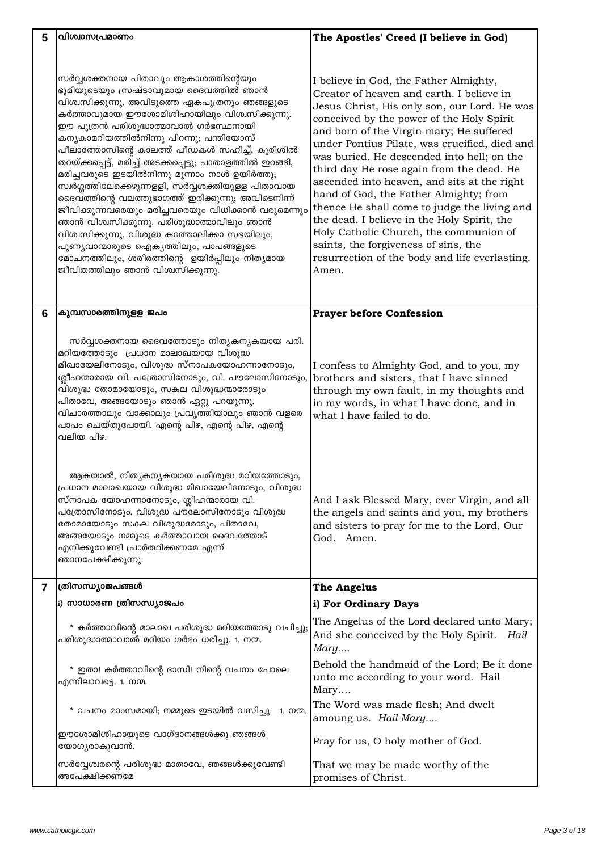| 5              | വിശ്വാസപ്രമാണം                                                                                                                                                                                                                                                                                                                                                                                                                                                                                                                                                                                                                                                                                                                                                                                                                        | The Apostles' Creed (I believe in God)                                                                                                                                                                                                                                                                                                                                                                                                                                                                                                                                                                                                                                                                        |
|----------------|---------------------------------------------------------------------------------------------------------------------------------------------------------------------------------------------------------------------------------------------------------------------------------------------------------------------------------------------------------------------------------------------------------------------------------------------------------------------------------------------------------------------------------------------------------------------------------------------------------------------------------------------------------------------------------------------------------------------------------------------------------------------------------------------------------------------------------------|---------------------------------------------------------------------------------------------------------------------------------------------------------------------------------------------------------------------------------------------------------------------------------------------------------------------------------------------------------------------------------------------------------------------------------------------------------------------------------------------------------------------------------------------------------------------------------------------------------------------------------------------------------------------------------------------------------------|
|                | സർവ്വശക്തനായ പിതാവും ആകാശത്തിന്റെയും<br>ഭൂമിയുടെയും സ്രഷ്ടാവുമായ ദൈവത്തിൽ ഞാൻ<br>വിശ്വസിക്കുന്നു. അവിടുത്തെ ഏകപുത്രനും ഞങ്ങളുടെ<br>കർത്താവുമായ ഈശോമിശിഹായിലും വിശ്വസിക്കുന്നു.<br>ഈ പുത്രൻ പരിശുദ്ധാത്മാവാൽ ഗർഭസ്ഥനായി<br>കന്യകാമറിയത്തിൽനിന്നു പിറന്നു; പന്തിയോസ്<br>പീലാത്തോസിന്റെ കാലത്ത് പീഡകൾ സഹിച്ച്, കുരിശിൽ<br>തറയ്ക്കപ്പെട്ട്, മരിച്ച് അടക്കപ്പെട്ടു; പാതാളത്തിൽ ഇറങ്ങി,<br>മരിച്ചവരുടെ ഇടയിൽനിന്നു മൂന്നാം നാൾ ഉയിർത്തു;<br>സ്വർഗ്ഗത്തിലേക്കെഴുന്നളളി, സർവ്വശക്തിയുളള പിതാവായ<br>ദൈവത്തിന്റെ വലത്തുഭാഗത്ത് ഇരിക്കുന്നു; അവിടെനിന്ന്<br>ജീവിക്കുന്നവരെയും മരിച്ചവരെയും വിധിക്കാൻ വരുമെന്നും<br>ഞാൻ വിശ്വസിക്കുന്നു. പരിശുദ്ധാത്മാവിലും ഞാൻ<br>വിശ്വസിക്കുന്നു. വിശുദ്ധ കത്തോലിക്കാ സഭയിലും,<br>പുണ്യവാന്മാരുടെ ഐകൃത്തിലും, പാപങ്ങളുടെ<br>മോചനത്തിലും, ശരീരത്തിന്റെ ഉയിർപ്പിലും നിത്യമായ<br>ജീവിതത്തിലും ഞാൻ വിശ്വസിക്കുന്നു. | I believe in God, the Father Almighty,<br>Creator of heaven and earth. I believe in<br>Jesus Christ, His only son, our Lord. He was<br>conceived by the power of the Holy Spirit<br>and born of the Virgin mary; He suffered<br>under Pontius Pilate, was crucified, died and<br>was buried. He descended into hell; on the<br>third day He rose again from the dead. He<br>ascended into heaven, and sits at the right<br>hand of God, the Father Almighty; from<br>thence He shall come to judge the living and<br>the dead. I believe in the Holy Spirit, the<br>Holy Catholic Church, the communion of<br>saints, the forgiveness of sins, the<br>resurrection of the body and life everlasting.<br>Amen. |
| 6              | കുമ്പസാരത്തിനുളള ജപം                                                                                                                                                                                                                                                                                                                                                                                                                                                                                                                                                                                                                                                                                                                                                                                                                  | <b>Prayer before Confession</b>                                                                                                                                                                                                                                                                                                                                                                                                                                                                                                                                                                                                                                                                               |
|                | സർവ്വശക്തനായ ദൈവത്തോടും നിത്യകന്യകയായ പരി.<br>മറിയത്തോടും പ്രധാന മാലാഖയായ വിശുദ്ധ<br>മിഖായേലിനോടും, വിശുദ്ധ സ്നാപകയോഹന്നാനോടും,<br>ശ്ലീഹന്മാരായ വി. പത്രോസിനോടും, വി. പൗലോസിനോടും,<br>വിശുദ്ധ തോമായോടും, സകല വിശുദ്ധന്മാരോടും<br>പിതാവേ, അങ്ങയോടും ഞാൻ ഏറ്റു പറയുന്നു.<br>വിചാരത്താലും വാക്കാലും പ്രവൃത്തിയാലും ഞാൻ വളരെ<br>പാപം ചെയ്തുപോയി. എന്റെ പിഴ, എന്റെ പിഴ, എന്റെ<br>വലിയ പിഴ.                                                                                                                                                                                                                                                                                                                                                                                                                                                 | I confess to Almighty God, and to you, my<br>brothers and sisters, that I have sinned<br>through my own fault, in my thoughts and<br>in my words, in what I have done, and in<br>what I have failed to do.                                                                                                                                                                                                                                                                                                                                                                                                                                                                                                    |
|                | ആകയാൽ, നിതൃകനൃകയായ പരിശുദ്ധ മറിയത്തോടും,<br>പ്രധാന മാലാഖയായ വിശുദ്ധ മിഖായേലിനോടും, വിശുദ്ധ<br>സ്നാപക യോഹന്നാനോടും, ശ്ലീഹന്മാരായ വി.<br>പത്രോസിനോടും, വിശുദ്ധ പൗലോസിനോടും വിശുദ്ധ<br>തോമായോടും സകല വിശുദ്ധരോടും, പിതാവേ,<br>അങ്ങയോടും നമ്മുടെ കർത്താവായ ദൈവത്തോട്<br>എനിക്കുവേണ്ടി പ്രാർത്ഥിക്കണമേ എന്ന്<br>ഞാനപേക്ഷിക്കുന്നു.                                                                                                                                                                                                                                                                                                                                                                                                                                                                                                         | And I ask Blessed Mary, ever Virgin, and all<br>the angels and saints and you, my brothers<br>and sisters to pray for me to the Lord, Our<br>God. Amen.                                                                                                                                                                                                                                                                                                                                                                                                                                                                                                                                                       |
| $\overline{7}$ | ത്രിസന്ധ്യാജപങ്ങൾ                                                                                                                                                                                                                                                                                                                                                                                                                                                                                                                                                                                                                                                                                                                                                                                                                     | <b>The Angelus</b>                                                                                                                                                                                                                                                                                                                                                                                                                                                                                                                                                                                                                                                                                            |
|                | i) സാധാരണ ത്രിസന്ധ്യാജപം                                                                                                                                                                                                                                                                                                                                                                                                                                                                                                                                                                                                                                                                                                                                                                                                              | i) For Ordinary Days                                                                                                                                                                                                                                                                                                                                                                                                                                                                                                                                                                                                                                                                                          |
|                | * കർത്താവിന്റെ മാലാഖ പരിശുദ്ധ മറിയത്തോടു വചിച്ചു;<br>പരിശുദ്ധാത്മാവാൽ മറിയം ഗർഭം ധരിച്ചു. 1. നന്മ.                                                                                                                                                                                                                                                                                                                                                                                                                                                                                                                                                                                                                                                                                                                                    | The Angelus of the Lord declared unto Mary;<br>And she conceived by the Holy Spirit.<br>Hail<br>Mary                                                                                                                                                                                                                                                                                                                                                                                                                                                                                                                                                                                                          |
|                | * ഇതാ! കർത്താവിന്റെ ദാസി! നിന്റെ വചനം പോലെ<br>എന്നിലാവട്ടെ. 1. നന്മ.                                                                                                                                                                                                                                                                                                                                                                                                                                                                                                                                                                                                                                                                                                                                                                  | Behold the handmaid of the Lord; Be it done<br>unto me according to your word. Hail<br>Mary                                                                                                                                                                                                                                                                                                                                                                                                                                                                                                                                                                                                                   |
|                | * വചനം മാംസമായി; നമ്മുടെ ഇടയിൽ വസിച്ചു. 1. നന്മ.                                                                                                                                                                                                                                                                                                                                                                                                                                                                                                                                                                                                                                                                                                                                                                                      | The Word was made flesh; And dwelt<br>amoung us. Hail Mary                                                                                                                                                                                                                                                                                                                                                                                                                                                                                                                                                                                                                                                    |
|                | ഈശോമിശിഹായുടെ വാഗ്ദാനങ്ങൾക്കു ഞങ്ങൾ<br>യോഗ്യരാകുവാൻ.                                                                                                                                                                                                                                                                                                                                                                                                                                                                                                                                                                                                                                                                                                                                                                                  | Pray for us, O holy mother of God.                                                                                                                                                                                                                                                                                                                                                                                                                                                                                                                                                                                                                                                                            |
|                | സർവ്വേശ്വരന്റെ പരിശുദ്ധ മാതാവേ, ഞങ്ങൾക്കുവേണ്ടി<br>അപേക്ഷിക്കണമേ                                                                                                                                                                                                                                                                                                                                                                                                                                                                                                                                                                                                                                                                                                                                                                      | That we may be made worthy of the<br>promises of Christ.                                                                                                                                                                                                                                                                                                                                                                                                                                                                                                                                                                                                                                                      |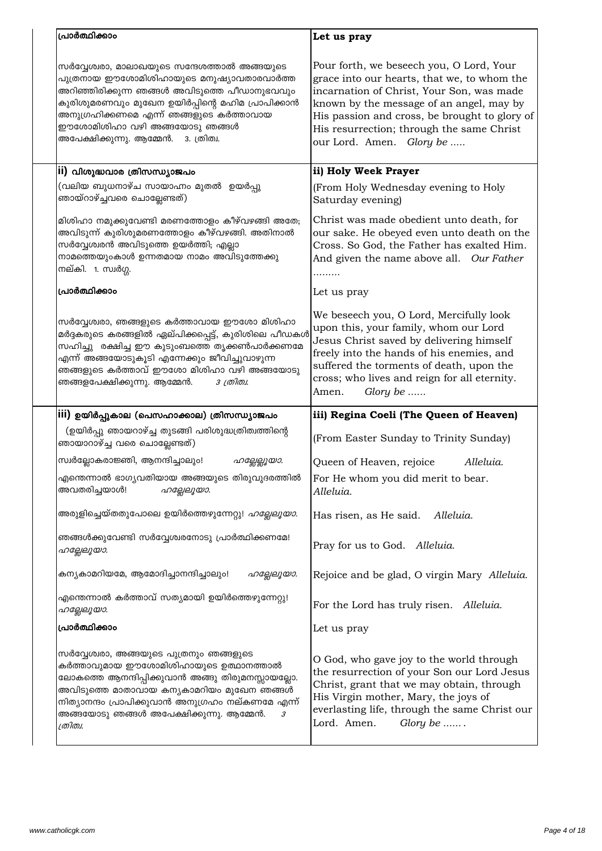| പ്രാർത്ഥിക്കാം                                                                                                                                                                                                                                                                                                  | Let us pray                                                                                                                                                                                                                                                                                                |
|-----------------------------------------------------------------------------------------------------------------------------------------------------------------------------------------------------------------------------------------------------------------------------------------------------------------|------------------------------------------------------------------------------------------------------------------------------------------------------------------------------------------------------------------------------------------------------------------------------------------------------------|
| സർവ്വേശ്വരാ, മാലാഖയുടെ സന്ദേശത്താൽ അങ്ങയുടെ<br>പുത്രനായ ഈശോമിശിഹായുടെ മനുഷ്യാവതാരവാർത്ത<br>അറിഞ്ഞിരിക്കുന്ന ഞങ്ങൾ അവിടുത്തെ പീഡാനുഭവവും<br>കുരിശുമരണവും മുഖേന ഉയിർപ്പിന്റെ മഹിമ പ്രാപിക്കാൻ<br>അനുഗ്രഹിക്കണമെ എന്ന് ഞങ്ങളുടെ കർത്താവായ<br>ഈശോമിശിഹാ വഴി അങ്ങയോടു ഞങ്ങൾ<br>അപേക്ഷിക്കുന്നു. ആമ്മേൻ. 3. ത്രിത്വ.  | Pour forth, we beseech you, O Lord, Your<br>grace into our hearts, that we, to whom the<br>incarnation of Christ, Your Son, was made<br>known by the message of an angel, may by<br>His passion and cross, be brought to glory of<br>His resurrection; through the same Christ<br>our Lord. Amen. Glory be |
| ii) വിശുദ്ധവാര ത്രിസന്ധ്യാജപം                                                                                                                                                                                                                                                                                   | ii) Holy Week Prayer                                                                                                                                                                                                                                                                                       |
| (വലിയ ബുധനാഴ്ച സായാഹ്നം മുതൽ  ഉയർപ്പു<br>ഞായ്റാഴ്ച്ചവരെ ചൊല്ലേണ്ടത്)                                                                                                                                                                                                                                            | (From Holy Wednesday evening to Holy<br>Saturday evening)                                                                                                                                                                                                                                                  |
| മിശിഹാ നമുക്കുവേണ്ടി മരണത്തോളം കീഴ്വഴങ്ങി അതേ;<br>അവിടുന്ന് കുരിശുമരണത്തോളം കീഴ്വഴങ്ങി. അതിനാൽ<br>സർവ്വേശ്വരൻ അവിടുത്തെ ഉയർത്തി; എല്ലാ<br>നാമത്തെയുംകാൾ ഉന്നതമായ നാമം അവിടുത്തേക്കു<br>നല്കി. 1. സ്വർഗ്ഗ.                                                                                                       | Christ was made obedient unto death, for<br>our sake. He obeyed even unto death on the<br>Cross. So God, the Father has exalted Him.<br>And given the name above all. Our Father                                                                                                                           |
| പ്രാർത്ഥിക്കാം                                                                                                                                                                                                                                                                                                  | Let us pray                                                                                                                                                                                                                                                                                                |
| സർവ്വേശ്വരാ, ഞങ്ങളുടെ കർത്താവായ ഈശോ മിശിഹാ<br>മർദ്ദകരുടെ കരങ്ങളിൽ ഏല്പിക്കപ്പെട്ട്, കുരിശിലെ പീഡകൾ<br>സഹിച്ചു രക്ഷിച്ച ഈ കുടുംബത്തെ തൃക്കൺപാർക്കണമേ<br>എന്ന് അങ്ങയോടുകൂടി എന്നേക്കും ജീവിച്ചുവാഴുന്ന<br>ഞങ്ങളുടെ കർത്താവ് ഈശോ മിശിഹാ വഴി അങ്ങയോടു<br>ഞങ്ങളപേക്ഷിക്കുന്നു. ആമ്മേൻ.<br>3 ത്രിത്വ.                 | We beseech you, O Lord, Mercifully look<br>upon this, your family, whom our Lord<br>Jesus Christ saved by delivering himself<br>freely into the hands of his enemies, and<br>suffered the torments of death, upon the<br>cross; who lives and reign for all eternity.<br>Glory be<br>Amen.                 |
| iii) ഉയിർപ്പുകാല (പെസഹാക്കാല) ത്രിസന്ധ്യാജപം                                                                                                                                                                                                                                                                    | iii) Regina Coeli (The Queen of Heaven)                                                                                                                                                                                                                                                                    |
| (ഉയിർപ്പു ഞായറാഴ്ച്ച തുടങ്ങി പരിശുദ്ധത്രിത്വത്തിന്റെ<br>ഞായാറാഴ്ച്ച വരെ ചൊല്ലേണ്ടത്)                                                                                                                                                                                                                            | (From Easter Sunday to Trinity Sunday)                                                                                                                                                                                                                                                                     |
| സ്വർല്ലോകരാജ്ഞി, ആനന്ദിച്ചാലും!<br>ഹല്ലേല്ലൂയാ.                                                                                                                                                                                                                                                                 | Queen of Heaven, rejoice<br>Alleluia.                                                                                                                                                                                                                                                                      |
| എന്തെന്നാൽ ഭാഗ്യവതിയായ അങ്ങയുടെ തിരുവുദരത്തിൽ<br>അവതരിച്ചയാൾ!<br>ഹല്ലേലൂയാ.                                                                                                                                                                                                                                     | For He whom you did merit to bear.<br>Alleluia.                                                                                                                                                                                                                                                            |
| അരുളിച്ചെയ്തതുപോലെ ഉയിർത്തെഴുന്നേറ്റു! <i>ഹല്ലേലൂയാ.</i>                                                                                                                                                                                                                                                        | Has risen, as He said.<br>Alleluia.                                                                                                                                                                                                                                                                        |
| ഞങ്ങൾക്കുവേണ്ടി സർവ്വേശ്വരനോടു പ്രാർത്ഥിക്കണമേ!<br>ഹല്ലേലൂയാ.                                                                                                                                                                                                                                                   | Pray for us to God. Alleluia.                                                                                                                                                                                                                                                                              |
| കന്യകാമറിയമേ, ആമോദിച്ചാനന്ദിച്ചാലും!<br>ഹല്ലേലൂയാ.                                                                                                                                                                                                                                                              | Rejoice and be glad, O virgin Mary Alleluia.                                                                                                                                                                                                                                                               |
| എന്തെന്നാൽ കർത്താവ് സത്യമായി ഉയിർത്തെഴുന്നേറ്റു!<br>ഹല്ലേലൂയാ.                                                                                                                                                                                                                                                  | For the Lord has truly risen. Alleluia.                                                                                                                                                                                                                                                                    |
| പ്രാർത്ഥിക്കാം                                                                                                                                                                                                                                                                                                  | Let us pray                                                                                                                                                                                                                                                                                                |
| സർവ്വേശ്വരാ, അങ്ങയുടെ പുത്രനും ഞങ്ങളുടെ<br>കർത്താവു <mark>മായ ഈശോമിശിഹായുടെ ഉത്ഥാനത്താൽ</mark><br>ലോകത്തെ ആനന്ദിപ്പിക്കുവാൻ അങ്ങു തിരുമനസ്സായല്ലോ.<br>അവിടുത്തെ മാതാവായ കന്യകാമറിയം മുഖേന ഞങ്ങൾ<br>നിത്യാനന്ദം പ്രാപിക്കുവാൻ അനുഗ്രഹം നല്കണമേ എന്ന്<br>അങ്ങയോടു ഞങ്ങൾ അപേക്ഷിക്കുന്നു. ആമ്മേൻ.<br>3<br>ത്രിത്വ. | O God, who gave joy to the world through<br>the resurrection of your Son our Lord Jesus<br>Christ, grant that we may obtain, through<br>His Virgin mother, Mary, the joys of<br>everlasting life, through the same Christ our<br>Lord. Amen.<br>Glory be $\ldots$ .                                        |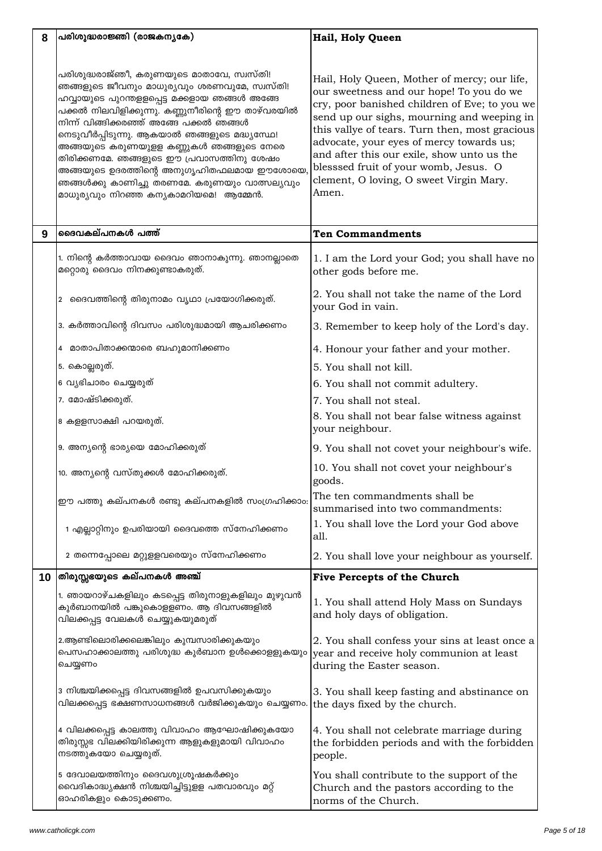| 8  | പരിശുദ്ധരാജ്ഞി (രാജകന്യകേ)                                                                                                                                                                                                                                                                                                                                                                                                                                                                                  | Hail, Holy Queen                                                                                                                                                                                                                                                                                                                                                                                                                 |
|----|-------------------------------------------------------------------------------------------------------------------------------------------------------------------------------------------------------------------------------------------------------------------------------------------------------------------------------------------------------------------------------------------------------------------------------------------------------------------------------------------------------------|----------------------------------------------------------------------------------------------------------------------------------------------------------------------------------------------------------------------------------------------------------------------------------------------------------------------------------------------------------------------------------------------------------------------------------|
|    |                                                                                                                                                                                                                                                                                                                                                                                                                                                                                                             |                                                                                                                                                                                                                                                                                                                                                                                                                                  |
|    | പരിശുദ്ധരാജ്ഞീ, കരുണയുടെ മാതാവേ, സ്വസ്തി!<br>ഞങ്ങളുടെ ജീവനും മാധുര്യവും ശരണവുമേ, സ്വസ്തി!<br>ഹവ്വായുടെ പുറന്തളളപ്പെട്ട <mark>മക്കളായ ഞങ്ങൾ അങ്ങേ</mark><br>പക്കൽ നിലവിളിക്കുന്നു. കണ്ണുനീരിന്റെ ഈ താഴ്വരയിൽ<br>നെടുവീർപ്പിടുന്നു. ആകയാൽ ഞങ്ങളുടെ മദ്ധ്യസ്ഥേ!<br>അങ്ങയുടെ കരുണയുളള കണ്ണുകൾ ഞങ്ങളുടെ നേരെ<br>തിരിക്കണമേ. ഞങ്ങളുടെ ഈ പ്രവാസത്തിനു ശേഷം<br>അങ്ങയുടെ ഉദരത്തിന്റെ അനുഗൃഹിതഫല <mark>മാ</mark> യ ഈശോയെ,<br>ഞങ്ങൾക്കു കാണിച്ചു തരണമേ. കരുണയും വാത്സല്യവും<br>മാധുര്യവും നിറഞ്ഞ കന്യകാമറിയമെ! ആമ്മേൻ. | Hail, Holy Queen, Mother of mercy; our life,<br>our sweetness and our hope! To you do we<br>cry, poor banished children of Eve; to you we<br>send up our sighs, mourning and weeping in<br>this vallye of tears. Turn then, most gracious<br>advocate, your eyes of mercy towards us;<br>and after this our exile, show unto us the<br>blesssed fruit of your womb, Jesus. O<br>clement, O loving, O sweet Virgin Mary.<br>Amen. |
| 9  | ദൈവകല്പനകൾ പത്ത്                                                                                                                                                                                                                                                                                                                                                                                                                                                                                            | <b>Ten Commandments</b>                                                                                                                                                                                                                                                                                                                                                                                                          |
|    | 1. നിന്റെ കർത്താവായ ദൈവം ഞാനാകുന്നു. ഞാനല്ലാതെ<br>മറ്റൊരു ദൈവം നിനക്കുണ്ടാകരുത്.                                                                                                                                                                                                                                                                                                                                                                                                                            | 1. I am the Lord your God; you shall have no<br>other gods before me.                                                                                                                                                                                                                                                                                                                                                            |
|    | 2 ദൈവത്തിന്റെ തിരുനാമം വൃഥാ പ്രയോഗിക്കരുത്.                                                                                                                                                                                                                                                                                                                                                                                                                                                                 | 2. You shall not take the name of the Lord<br>your God in vain.                                                                                                                                                                                                                                                                                                                                                                  |
|    | 3. കർത്താവിന്റെ ദിവസം പരിശുദ്ധമായി ആചരിക്കണം                                                                                                                                                                                                                                                                                                                                                                                                                                                                | 3. Remember to keep holy of the Lord's day.                                                                                                                                                                                                                                                                                                                                                                                      |
|    | മാതാപിതാക്കന്മാരെ ബഹുമാനിക്കണം<br>4                                                                                                                                                                                                                                                                                                                                                                                                                                                                         | 4. Honour your father and your mother.                                                                                                                                                                                                                                                                                                                                                                                           |
|    | 5. കൊല്ലരുത്.                                                                                                                                                                                                                                                                                                                                                                                                                                                                                               | 5. You shall not kill.                                                                                                                                                                                                                                                                                                                                                                                                           |
|    | 6 വ്യഭിചാരം ചെയ്യരുത്                                                                                                                                                                                                                                                                                                                                                                                                                                                                                       | 6. You shall not commit adultery.                                                                                                                                                                                                                                                                                                                                                                                                |
|    | 7. മോഷ്ടിക്കരുത്.                                                                                                                                                                                                                                                                                                                                                                                                                                                                                           | 7. You shall not steal.                                                                                                                                                                                                                                                                                                                                                                                                          |
|    | 8 കളളസാക്ഷി പറയരുത്.                                                                                                                                                                                                                                                                                                                                                                                                                                                                                        | 8. You shall not bear false witness against<br>your neighbour.                                                                                                                                                                                                                                                                                                                                                                   |
|    | 9. അന്യന്റെ ഭാര്യയെ മോഹിക്കരുത്                                                                                                                                                                                                                                                                                                                                                                                                                                                                             | 9. You shall not covet your neighbour's wife.                                                                                                                                                                                                                                                                                                                                                                                    |
|    | 10. അന്യന്റെ വസ്തുക്കൾ മോഹിക്കരുത്.                                                                                                                                                                                                                                                                                                                                                                                                                                                                         | 10. You shall not covet your neighbour's<br>goods.                                                                                                                                                                                                                                                                                                                                                                               |
|    | ഈ പത്തു കല്പനകൾ രണ്ടു കല്പനകളിൽ സംഗ്രഹിക്കാം:                                                                                                                                                                                                                                                                                                                                                                                                                                                               | The ten commandments shall be<br>summarised into two commandments:                                                                                                                                                                                                                                                                                                                                                               |
|    | 1 എല്ലാറ്റിനും ഉപരിയായി ദൈവത്തെ സ്നേഹിക്കണം                                                                                                                                                                                                                                                                                                                                                                                                                                                                 | 1. You shall love the Lord your God above<br>all.                                                                                                                                                                                                                                                                                                                                                                                |
|    | 2 തന്നെപ്പോലെ മറ്റുളളവരെയും സ്നേഹിക്കണം                                                                                                                                                                                                                                                                                                                                                                                                                                                                     | 2. You shall love your neighbour as yourself.                                                                                                                                                                                                                                                                                                                                                                                    |
| 10 | തിരുസ്സഭയുടെ കല്പനകൾ അഞ്ച്                                                                                                                                                                                                                                                                                                                                                                                                                                                                                  | <b>Five Percepts of the Church</b>                                                                                                                                                                                                                                                                                                                                                                                               |
|    | 1. ഞായറാഴ്ചകളിലും കടപ്പെട്ട തിരുനാളുകളിലും മുഴുവൻ<br>കുർബാനയിൽ പങ്കുകൊളളണം. ആ ദിവസങ്ങളിൽ<br>വിലക്കപ്പട്ട വേലകൾ ചെയ്യുകയുമരുത്                                                                                                                                                                                                                                                                                                                                                                               | 1. You shall attend Holy Mass on Sundays<br>and holy days of obligation.                                                                                                                                                                                                                                                                                                                                                         |
|    | 2.ആണ്ടിലൊരിക്കലെങ്കിലും കുമ്പസാരിക്കുകയും<br>പെസഹാക്കാലത്തു പരിശുദ്ധ കുർബാന ഉൾക്കൊളളുകയും<br>ചെയ്യണം                                                                                                                                                                                                                                                                                                                                                                                                        | 2. You shall confess your sins at least once a<br>year and receive holy communion at least<br>during the Easter season.                                                                                                                                                                                                                                                                                                          |
|    | 3 നിശ്ചയിക്കപ്പെട്ട ദിവസങ്ങളിൽ ഉപവസിക്കുകയും<br>വിലക്കപ്പെട്ട ഭക്ഷണസാധനങ്ങൾ വർജിക്കുകയും ചെയ്യണം.                                                                                                                                                                                                                                                                                                                                                                                                           | 3. You shall keep fasting and abstinance on<br>the days fixed by the church.                                                                                                                                                                                                                                                                                                                                                     |
|    | 4 വിലക്കപ്പെട്ട കാലത്തു വിവാഹം ആഘോഷിക്കുകയോ<br>തിരുസ്സഭ വിലക്കിയിരിക്കുന്ന ആളുകളുമായി വിവാഹം<br>നടത്തുകയോ ചെയ്യരുത്.                                                                                                                                                                                                                                                                                                                                                                                        | 4. You shall not celebrate marriage during<br>the forbidden periods and with the forbidden<br>people.                                                                                                                                                                                                                                                                                                                            |
|    | 5 ദേവാലയത്തിനും ദൈവശുശ്രൂഷകർക്കും<br>വൈദികാദ്ധ്യക്ഷൻ നിശ്ചയിച്ചിട്ടുളള പതവാരവും മറ്റ്<br>ഓഹരികളും കൊടുക്കണം.                                                                                                                                                                                                                                                                                                                                                                                                | You shall contribute to the support of the<br>Church and the pastors according to the<br>norms of the Church.                                                                                                                                                                                                                                                                                                                    |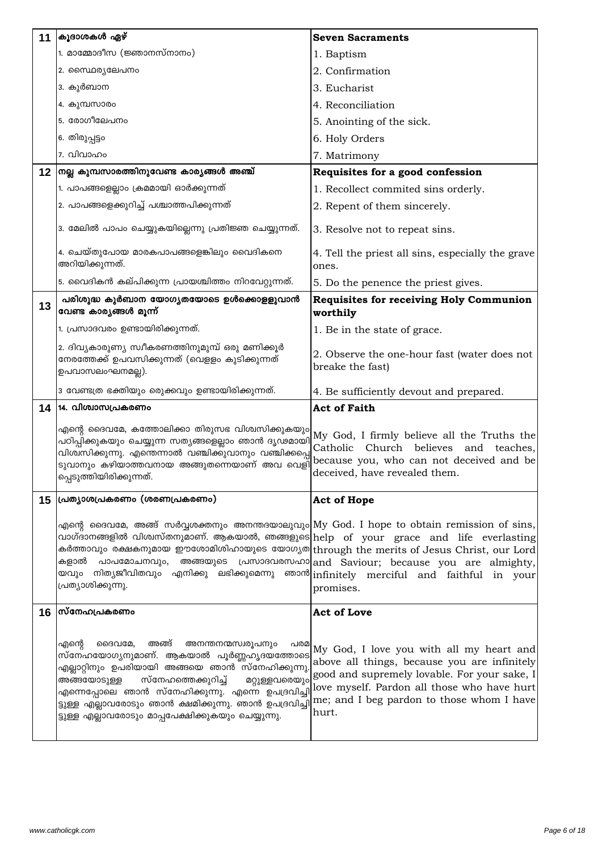| 11                | കൂദാശകൾ ഏഴ്                                                                                                                                                                                                                                                                                                                                                                                                                                                                                | <b>Seven Sacraments</b>                                                                                                                                                                                                                       |
|-------------------|--------------------------------------------------------------------------------------------------------------------------------------------------------------------------------------------------------------------------------------------------------------------------------------------------------------------------------------------------------------------------------------------------------------------------------------------------------------------------------------------|-----------------------------------------------------------------------------------------------------------------------------------------------------------------------------------------------------------------------------------------------|
|                   | 1. മാമ്മോദീസ (ജ്ഞാനസ്നാനം)                                                                                                                                                                                                                                                                                                                                                                                                                                                                 | 1. Baptism                                                                                                                                                                                                                                    |
|                   | 2. സൈ്ഥര്യലേപനം                                                                                                                                                                                                                                                                                                                                                                                                                                                                            | 2. Confirmation                                                                                                                                                                                                                               |
|                   | 3. കുർബാന                                                                                                                                                                                                                                                                                                                                                                                                                                                                                  | 3. Eucharist                                                                                                                                                                                                                                  |
|                   | 4. കുമ്പസാരം                                                                                                                                                                                                                                                                                                                                                                                                                                                                               | 4. Reconciliation                                                                                                                                                                                                                             |
|                   | 5. രോഗീലേപനം                                                                                                                                                                                                                                                                                                                                                                                                                                                                               | 5. Anointing of the sick.                                                                                                                                                                                                                     |
|                   | 6. തിരുപ്പട്ടം                                                                                                                                                                                                                                                                                                                                                                                                                                                                             | 6. Holy Orders                                                                                                                                                                                                                                |
|                   | 7. വിവാഹം                                                                                                                                                                                                                                                                                                                                                                                                                                                                                  | 7. Matrimony                                                                                                                                                                                                                                  |
| $12 \overline{ }$ | നല്ല കുമ്പസാരത്തിനുവേണ്ട കാര്യങ്ങൾ അഞ്ച്                                                                                                                                                                                                                                                                                                                                                                                                                                                   | Requisites for a good confession                                                                                                                                                                                                              |
|                   | 1. പാപങ്ങളെല്ലാം ക്രമമായി ഓർക്കുന്നത്                                                                                                                                                                                                                                                                                                                                                                                                                                                      | 1. Recollect commited sins orderly.                                                                                                                                                                                                           |
|                   | 2. പാപങ്ങളെക്കുറിച്ച് പശ്ചാത്തപിക്കുന്നത്                                                                                                                                                                                                                                                                                                                                                                                                                                                  | 2. Repent of them sincerely.                                                                                                                                                                                                                  |
|                   | 3. മേലിൽ പാപം ചെയ്യുകയില്ലെന്നു പ്രതിജ്ഞ ചെയ്യുന്നത്.                                                                                                                                                                                                                                                                                                                                                                                                                                      | 3. Resolve not to repeat sins.                                                                                                                                                                                                                |
|                   | 4. ചെയ്തുപോയ മാരകപാപങ്ങളെങ്കിലും വൈദികനെ<br>അറിയിക്കുന്നത്.                                                                                                                                                                                                                                                                                                                                                                                                                                | 4. Tell the priest all sins, especially the grave<br>ones.                                                                                                                                                                                    |
|                   | 5. വൈദികൻ കല്പിക്കുന്ന പ്രായശ്ചിത്തം നിറവേറ്റുന്നത്.                                                                                                                                                                                                                                                                                                                                                                                                                                       | 5. Do the penence the priest gives.                                                                                                                                                                                                           |
| 13                | പരിശുദ്ധ കുർബാന യോഗ്യതയോടെ ഉൾക്കൊളളുവാൻ<br>വേണ്ട കാര്യങ്ങൾ മൂന്ന്                                                                                                                                                                                                                                                                                                                                                                                                                          | <b>Requisites for receiving Holy Communion</b><br>worthily                                                                                                                                                                                    |
|                   | 1. പ്രസാദവരം ഉണ്ടായിരിക്കുന്നത്.                                                                                                                                                                                                                                                                                                                                                                                                                                                           | 1. Be in the state of grace.                                                                                                                                                                                                                  |
|                   | 2. ദിവ്യകാരുണ്യ സ്വീകരണത്തിനുമുമ്പ് ഒരു മണിക്കൂർ<br>നേരത്തേക്ക് ഉപവസിക്കുന്നത് (വെളളം കുടിക്കുന്നത്<br>ഉപവാസലംഘനമല്ല).                                                                                                                                                                                                                                                                                                                                                                     | 2. Observe the one-hour fast (water does not<br>breake the fast)                                                                                                                                                                              |
|                   | 3 വേണ്ടത്ര ഭക്തിയും രെുക്കവും ഉണ്ടായിരിക്കുന്നത്.                                                                                                                                                                                                                                                                                                                                                                                                                                          | 4. Be sufficiently devout and prepared.                                                                                                                                                                                                       |
| 14                | 14. വിശ്വാസപ്രകരണം                                                                                                                                                                                                                                                                                                                                                                                                                                                                         | <b>Act of Faith</b>                                                                                                                                                                                                                           |
|                   | എന്റെ ദൈവമേ, കത്തോലിക്കാ തിരുസഭ വിശ്വസിക്കുകയും My God, I firmly believe all the Truths the<br>വിശ്വസിക്കുന്നു. എന്തെന്നാൽ വഞ്ചിക്കുവാനും വഞ്ചിക്കപ്പെ<br>ടുവാനും കഴിയാത്തവനായ അങ്ങുതന്നെയാണ് അവ വെളി<br>പ്പെടുത്തിയിരിക്കുന്നത്.                                                                                                                                                                                                                                                          | Catholic Church believes and teaches,<br>because you, who can not deceived and be<br>deceived, have revealed them.                                                                                                                            |
| 15                | പ്രത്യാശപ്രകരണം (ശരണപ്രകരണം)                                                                                                                                                                                                                                                                                                                                                                                                                                                               | <b>Act of Hope</b>                                                                                                                                                                                                                            |
|                   | എന്റെ ദൈവമേ, അങ്ങ് സർവ്വശക്തനും അനന്തദയാലുവും My God. I hope to obtain remission of sins,<br>വാഗ്ദാനങ്ങളിൽ വിശ്വസ്തനുമാണ്. ആകയാൽ, ഞങ്ങളുടെ help of your grace and life everlasting<br>കർത്താവും രക്ഷകനുമായ ഈശോമിശിഹായുടെ യോഗ്യത $ $ through the merits of Jesus Christ, our Lord $ $<br>കളാൽ പാപമോചനവും, അങ്ങയുടെ പ്രസാദവരസഹാ $ $ and Saviour; because you are almighty,<br>യവും നിതൃജീവിതവും എനിക്കു ലഭിക്കുമെന്നു ഞാൻ $ $ infinitely merciful and faithful in your<br>പ്രത്യാശിക്കുന്നു. | promises.                                                                                                                                                                                                                                     |
| 16                | സ്നേഹപ്രകരണം                                                                                                                                                                                                                                                                                                                                                                                                                                                                               | <b>Act of Love</b>                                                                                                                                                                                                                            |
|                   | അങ്ങ്<br>അനന്തനന്മസ്വരൂപനും<br>എന്റെ<br>ദൈവമേ,<br>പരമ<br>സ്നേഹയോഗ്യനുമാണ്. ആകയാൽ പൂർണ്ണഹൃദയത്തോടെ<br>എല്ലാറ്റിനും ഉപരിയായി അങ്ങയെ ഞാൻ സ്നേഹിക്കുന്നു<br>സ്നേഹത്തെക്കുറിച്ച്<br>അങ്ങയോടുള്ള<br>മറ്റുള്ളവരെയും<br>എന്നെപ്പോലെ ഞാൻ സ്നേഹിക്കുന്നു. എന്നെ ഉപദ്രവിച്ചി<br>ട്ടുള്ള എല്ലാവരോടും ഞാൻ ക്ഷമിക്കുന്നു. ഞാൻ ഉപദ്രവിച്ചി<br>ട്ടുള്ള എല്ലാവരോടും മാപ്പപേക്ഷിക്കുകയും ചെയ്യുന്നു.                                                                                                         | My God, I love you with all my heart and<br>above all things, because you are infinitely<br>good and supremely lovable. For your sake, I<br>love myself. Pardon all those who have hurt<br>me; and I beg pardon to those whom I have<br>hurt. |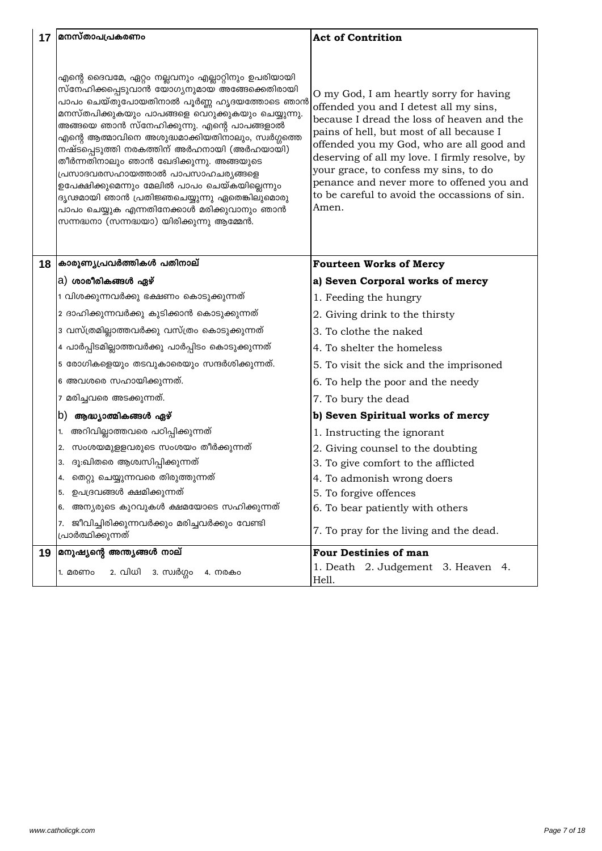| 17 | മനസ്താപപ്രകരണം                                                                                                                                                                                                                                                                                                                                                                                                                                                                                                                                                                                                                        | <b>Act of Contrition</b>                                                                                                                                                                                                                                                                                                                                                                                                   |
|----|---------------------------------------------------------------------------------------------------------------------------------------------------------------------------------------------------------------------------------------------------------------------------------------------------------------------------------------------------------------------------------------------------------------------------------------------------------------------------------------------------------------------------------------------------------------------------------------------------------------------------------------|----------------------------------------------------------------------------------------------------------------------------------------------------------------------------------------------------------------------------------------------------------------------------------------------------------------------------------------------------------------------------------------------------------------------------|
|    |                                                                                                                                                                                                                                                                                                                                                                                                                                                                                                                                                                                                                                       |                                                                                                                                                                                                                                                                                                                                                                                                                            |
|    | എന്റെ ദൈവമേ, ഏറ്റം നല്ലവനും എല്ലാറ്റിനും ഉപരിയായി<br>സ്നേഹിക്കപ്പെടുവാൻ യോഗ്യനുമായ അങ്ങേക്കെതിരായി<br>പാപം ചെയ്തുപോയതിനാൽ പൂർണ്ണ ഹൃദയത്തോടെ ഞാൻ<br>മനസ്തപിക്കുകയും പാപങ്ങളെ വെറുക്കുകയും ചെയ്യുന്നു.<br>അങ്ങയെ ഞാൻ സ്നേഹിക്കുന്നു. എന്റെ പാപങ്ങളാൽ<br>എന്റെ ആത്മാവിനെ അശുദ്ധമാക്കിയതിനാലും, സ്വർഗ്ഗത്തെ<br>നഷ്ടപ്പെടുത്തി നരകത്തിന് അർഹനായി (അർഹയായി)<br>തീർന്നതിനാലും ഞാൻ ഖേദിക്കുന്നു. അങ്ങയുടെ<br>പ്രസാദവരസഹായത്താൽ പാപസാഹചര്യങ്ങളെ<br>ഉപേക്ഷിക്കുമെന്നും മേലിൽ പാപം ചെയ്കയില്ലെന്നും<br>ദൃഢമായി ഞാൻ പ്രതിജ്ഞചെയ്യുന്നു ഏതെങ്കിലുമൊരു<br>പാപം ചെയ്യുക എന്നതിനേക്കാൾ മരിക്കുവാനും ഞാൻ<br>സന്നദ്ധനാ (സന്നദ്ധയാ) യിരിക്കുന്നു ആമ്മേൻ. | O my God, I am heartly sorry for having<br>offended you and I detest all my sins,<br>because I dread the loss of heaven and the<br>pains of hell, but most of all because I<br>offended you my God, who are all good and<br>deserving of all my love. I firmly resolve, by<br>your grace, to confess my sins, to do<br>penance and never more to offened you and<br>to be careful to avoid the occassions of sin.<br>Amen. |
| 18 | കാരുണ്യപ്രവർത്തികൾ പതിനാല്                                                                                                                                                                                                                                                                                                                                                                                                                                                                                                                                                                                                            | <b>Fourteen Works of Mercy</b>                                                                                                                                                                                                                                                                                                                                                                                             |
|    | a) ശാരീരികങ്ങൾ ഏഴ്                                                                                                                                                                                                                                                                                                                                                                                                                                                                                                                                                                                                                    | a) Seven Corporal works of mercy                                                                                                                                                                                                                                                                                                                                                                                           |
|    | 1 വിശക്കുന്നവർക്കു ഭക്ഷണം കൊടുക്കുന്നത്                                                                                                                                                                                                                                                                                                                                                                                                                                                                                                                                                                                               | 1. Feeding the hungry                                                                                                                                                                                                                                                                                                                                                                                                      |
|    | 2 ദാഹിക്കുന്നവർക്കു കുടിക്കാൻ കൊടുക്കുന്നത്                                                                                                                                                                                                                                                                                                                                                                                                                                                                                                                                                                                           | 2. Giving drink to the thirsty                                                                                                                                                                                                                                                                                                                                                                                             |
|    | 3 വസ്ത്രമില്ലാത്തവർക്കു വസ്ത്രം കൊടുക്കുന്നത്                                                                                                                                                                                                                                                                                                                                                                                                                                                                                                                                                                                         | 3. To clothe the naked                                                                                                                                                                                                                                                                                                                                                                                                     |
|    | 4 പാർപ്പിടമില്ലാത്തവർക്കു പാർപ്പിടം കൊടുക്കുന്നത്                                                                                                                                                                                                                                                                                                                                                                                                                                                                                                                                                                                     | 4. To shelter the homeless                                                                                                                                                                                                                                                                                                                                                                                                 |
|    | 5 രോഗികളെയും തടവുകാരെയും സന്ദർശിക്കുന്നത്.                                                                                                                                                                                                                                                                                                                                                                                                                                                                                                                                                                                            | 5. To visit the sick and the imprisoned                                                                                                                                                                                                                                                                                                                                                                                    |
|    | 6 അവശരെ സഹായിക്കുന്നത്.                                                                                                                                                                                                                                                                                                                                                                                                                                                                                                                                                                                                               | 6. To help the poor and the needy                                                                                                                                                                                                                                                                                                                                                                                          |
|    | 7 മരിച്ചവരെ അടക്കുന്നത്.                                                                                                                                                                                                                                                                                                                                                                                                                                                                                                                                                                                                              | 7. To bury the dead                                                                                                                                                                                                                                                                                                                                                                                                        |
|    | ആദ്ധ്യാത്മികങ്ങൾ ഏഴ്<br>ID).                                                                                                                                                                                                                                                                                                                                                                                                                                                                                                                                                                                                          | b) Seven Spiritual works of mercy                                                                                                                                                                                                                                                                                                                                                                                          |
|    | അറിവില്ലാത്തവരെ പഠിപ്പിക്കുന്നത്                                                                                                                                                                                                                                                                                                                                                                                                                                                                                                                                                                                                      | 1. Instructing the ignorant                                                                                                                                                                                                                                                                                                                                                                                                |
|    | സംശയമുളളവരുടെ സംശയം തീർക്കുന്നത്<br>2.                                                                                                                                                                                                                                                                                                                                                                                                                                                                                                                                                                                                | 2. Giving counsel to the doubting                                                                                                                                                                                                                                                                                                                                                                                          |
|    | ദൂ:ഖിതരെ ആശ്വസിപ്പിക്കുന്നത്<br>3.                                                                                                                                                                                                                                                                                                                                                                                                                                                                                                                                                                                                    | 3. To give comfort to the afflicted                                                                                                                                                                                                                                                                                                                                                                                        |
|    | തെറ്റു ചെയ്യുന്നവരെ തിരുത്തുന്നത്<br>4.                                                                                                                                                                                                                                                                                                                                                                                                                                                                                                                                                                                               | 4. To admonish wrong doers                                                                                                                                                                                                                                                                                                                                                                                                 |
|    | ഉപദ്രവങ്ങൾ ക്ഷമിക്കുന്നത്<br>5.                                                                                                                                                                                                                                                                                                                                                                                                                                                                                                                                                                                                       | 5. To forgive offences                                                                                                                                                                                                                                                                                                                                                                                                     |
|    | അന്യരുടെ കുറവുകൾ ക്ഷമയോടെ സഹിക്കുന്നത്<br>6.                                                                                                                                                                                                                                                                                                                                                                                                                                                                                                                                                                                          | 6. To bear patiently with others                                                                                                                                                                                                                                                                                                                                                                                           |
|    | ജീവിച്ചിരിക്കുന്നവർക്കും മരിച്ചവർക്കും വേണ്ടി<br>7.<br>പ്രാർത്ഥിക്കുന്നത്                                                                                                                                                                                                                                                                                                                                                                                                                                                                                                                                                             | 7. To pray for the living and the dead.                                                                                                                                                                                                                                                                                                                                                                                    |
| 19 | മനുഷ്യന്റെ അന്ത്യങ്ങൾ നാല്                                                                                                                                                                                                                                                                                                                                                                                                                                                                                                                                                                                                            | <b>Four Destinies of man</b>                                                                                                                                                                                                                                                                                                                                                                                               |
|    | 2. വിധി<br>3. സ്വർഗ്ഗം<br>1. മരണം<br>4. നരകം                                                                                                                                                                                                                                                                                                                                                                                                                                                                                                                                                                                          | 1. Death 2. Judgement 3. Heaven 4.<br>Hell.                                                                                                                                                                                                                                                                                                                                                                                |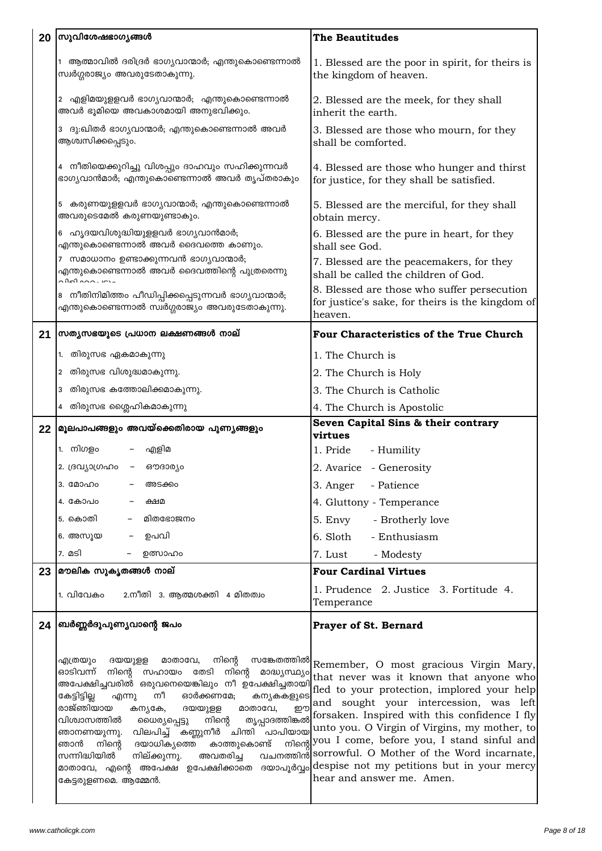| 20 | സുവിശേഷഭാഗൃങ്ങൾ                                                                                                                                                                                                                                                                                                                                                                                                                                                                                                       | <b>The Beautitudes</b>                                                                                                                                                                                                                                                                                                                                                                 |
|----|-----------------------------------------------------------------------------------------------------------------------------------------------------------------------------------------------------------------------------------------------------------------------------------------------------------------------------------------------------------------------------------------------------------------------------------------------------------------------------------------------------------------------|----------------------------------------------------------------------------------------------------------------------------------------------------------------------------------------------------------------------------------------------------------------------------------------------------------------------------------------------------------------------------------------|
|    | ആത്മാവിൽ ദരിദ്രർ ഭാഗ്യവാന്മാർ; എന്തുകൊണ്ടെന്നാൽ<br>സ്വർഗ്ഗരാജ്യം അവരുടേതാകുന്നു.                                                                                                                                                                                                                                                                                                                                                                                                                                      | 1. Blessed are the poor in spirit, for theirs is<br>the kingdom of heaven.                                                                                                                                                                                                                                                                                                             |
|    | 2 എളിമയുളളവർ ഭാഗ്യവാന്മാർ; എന്തുകൊണ്ടെന്നാൽ<br>അവർ ഭൂമിയെ അവകാശമായി അനുഭവിക്കും.                                                                                                                                                                                                                                                                                                                                                                                                                                      | 2. Blessed are the meek, for they shall<br>inherit the earth.                                                                                                                                                                                                                                                                                                                          |
|    | ദു:ഖിതർ ഭാഗ്യവാന്മാർ; എന്തുകൊണ്ടെന്നാൽ അവർ<br>3<br>ആശ്വസിക്കപ്പെടും.                                                                                                                                                                                                                                                                                                                                                                                                                                                  | 3. Blessed are those who mourn, for they<br>shall be comforted.                                                                                                                                                                                                                                                                                                                        |
|    | 4 നീതിയെക്കുറിച്ചു വിശപ്പും ദാഹവും സഹിക്കുന്നവർ<br>ഭാഗ്യവാൻമാർ; എന്തുകൊണ്ടെന്നാൽ അവർ തൃപ്തരാകും                                                                                                                                                                                                                                                                                                                                                                                                                       | 4. Blessed are those who hunger and thirst<br>for justice, for they shall be satisfied.                                                                                                                                                                                                                                                                                                |
|    | കരുണയുളളവർ ഭാഗൃവാന്മാർ; എന്തുകൊണ്ടെന്നാൽ<br>5<br>അവരുടെമേൽ കരുണയുണ്ടാകും.                                                                                                                                                                                                                                                                                                                                                                                                                                             | 5. Blessed are the merciful, for they shall<br>obtain mercy.                                                                                                                                                                                                                                                                                                                           |
|    | ഹ്യദയവിശുദ്ധിയുളളവർ ഭാഗ്യവാൻമാർ;<br>6<br>എന്തുകൊണ്ടെന്നാൽ അവർ ദൈവത്തെ കാണും.                                                                                                                                                                                                                                                                                                                                                                                                                                          | 6. Blessed are the pure in heart, for they<br>shall see God.                                                                                                                                                                                                                                                                                                                           |
|    | സമാധാനം ഉണ്ടാക്കുന്നവൻ ഭാഗ്യവാന്മാർ;<br>എന്തുകൊണ്ടെന്നാൽ അവർ ദൈവത്തിന്റെ പുത്രരെന്നു<br>$\sim$ $02$ $\sim$ $\sim$ $\sim$                                                                                                                                                                                                                                                                                                                                                                                              | 7. Blessed are the peacemakers, for they<br>shall be called the children of God.                                                                                                                                                                                                                                                                                                       |
|    | നീതിനിമിത്തം പീഡിപ്പിക്കപ്പെടുന്നവർ ഭാഗ്യവാന്മാർ;<br>എന്തുകൊണ്ടെന്നാൽ സ്വർഗ്ഗരാജ്യം അവരുടേതാകുന്നു.                                                                                                                                                                                                                                                                                                                                                                                                                   | 8. Blessed are those who suffer persecution<br>for justice's sake, for theirs is the kingdom of<br>heaven.                                                                                                                                                                                                                                                                             |
| 21 | സത്യസഭയുടെ പ്രധാന ലക്ഷണങ്ങൾ നാല്                                                                                                                                                                                                                                                                                                                                                                                                                                                                                      | Four Characteristics of the True Church                                                                                                                                                                                                                                                                                                                                                |
|    | തിരുസഭ ഏകമാകുന്നു<br>1.                                                                                                                                                                                                                                                                                                                                                                                                                                                                                               | 1. The Church is                                                                                                                                                                                                                                                                                                                                                                       |
|    | തിരുസഭ വിശുദ്ധമാകുന്നു.<br>2                                                                                                                                                                                                                                                                                                                                                                                                                                                                                          | 2. The Church is Holy                                                                                                                                                                                                                                                                                                                                                                  |
|    | തിരുസഭ കത്തോലിക്കമാകുന്നു.<br>3                                                                                                                                                                                                                                                                                                                                                                                                                                                                                       | 3. The Church is Catholic                                                                                                                                                                                                                                                                                                                                                              |
|    | തിരുസഭ ശ്ലൈഹികമാകുന്നു<br>4                                                                                                                                                                                                                                                                                                                                                                                                                                                                                           | 4. The Church is Apostolic                                                                                                                                                                                                                                                                                                                                                             |
|    | 22 മൂലപാപങ്ങളും അവയ്ക്കെതിരായ പുണ്യങ്ങളും                                                                                                                                                                                                                                                                                                                                                                                                                                                                             | Seven Capital Sins & their contrary                                                                                                                                                                                                                                                                                                                                                    |
|    | 1. നിഗളം<br>– എളിമ                                                                                                                                                                                                                                                                                                                                                                                                                                                                                                    | virtues<br>1. Pride<br>- Humility                                                                                                                                                                                                                                                                                                                                                      |
|    | 2. ദ്രവ്യാഗ്രഹം   –<br>ഔദാര്യം                                                                                                                                                                                                                                                                                                                                                                                                                                                                                        | 2. Avarice - Generosity                                                                                                                                                                                                                                                                                                                                                                |
|    | 3. 000000<br>അടക്കം                                                                                                                                                                                                                                                                                                                                                                                                                                                                                                   | - Patience<br>3. Anger                                                                                                                                                                                                                                                                                                                                                                 |
|    | 4. കോപo<br>ക്ഷമ                                                                                                                                                                                                                                                                                                                                                                                                                                                                                                       | 4. Gluttony - Temperance                                                                                                                                                                                                                                                                                                                                                               |
|    | മിതഭോജനം<br>5. കൊതി                                                                                                                                                                                                                                                                                                                                                                                                                                                                                                   | 5. Envy<br>- Brotherly love                                                                                                                                                                                                                                                                                                                                                            |
|    | 6. അസൂയ<br>ഉപവി                                                                                                                                                                                                                                                                                                                                                                                                                                                                                                       | 6. Sloth<br>- Enthusiasm                                                                                                                                                                                                                                                                                                                                                               |
|    | 7. മടി<br>ഉത്സാഹം                                                                                                                                                                                                                                                                                                                                                                                                                                                                                                     | 7. Lust                                                                                                                                                                                                                                                                                                                                                                                |
| 23 | മൗലിക സുകൃതങ്ങൾ നാല്                                                                                                                                                                                                                                                                                                                                                                                                                                                                                                  | - Modesty<br><b>Four Cardinal Virtues</b>                                                                                                                                                                                                                                                                                                                                              |
|    | 2.നീതി 3. ആത്മശക്തി 4 മിതത്വം<br>1. വിവേകം                                                                                                                                                                                                                                                                                                                                                                                                                                                                            | 1. Prudence 2. Justice 3. Fortitude 4.<br>Temperance                                                                                                                                                                                                                                                                                                                                   |
| 24 | ബർണ്ണർദുപുണ്യവാന്റെ ജപം                                                                                                                                                                                                                                                                                                                                                                                                                                                                                               | <b>Prayer of St. Bernard</b>                                                                                                                                                                                                                                                                                                                                                           |
|    | നിന്റെ<br>എത്രയും ദയയുളള<br>മാതാവേ,<br>ഓടിവന്ന് നിന്റെ സഹായം തേടി നിന്റെ<br>കേട്ടിട്ടില്ല<br>നീ ഓർക്കണമേ;<br>എന്നു<br>കന്യകകളുടെ<br>രാജ്ഞിയായ<br>മാതാവേ,<br>றற<br>കന്യകേ,<br>ദയയുളള<br>വിശ്വാസത്തിൽ<br>നിന്റെ തൃപ്പാദത്തിങ്കൽ<br>ധൈര്യപ്പെട്ടു<br>വിലപിച്ച് കണ്ണുനീർ ചിന്തി പാപിയായ<br>ഞാനണയുന്നു.<br>ദയാധിക്യത്തെ കാത്തുകൊണ്ട്<br>ഞാൻ<br>നിന്റെ<br>സന്നിദ്ധിയിൽ<br>നില്ക്കുന്നു.<br>മാതാവേ, എന്റെ അപേക്ഷ ഉപേക്ഷിക്കാതെ ദയാപൂർവ്വം $ \rm{despise\ not\ my\ petitions\ but\ in\ your\ mercy} $<br>കേട്ടരുളണമെ. ആമ്മേൻ. | സങ്കേതത്തിൽ Remember, O most gracious Virgin Mary,<br>asay muss it known that anyone who<br>and sought your intercession, was left<br>forsaken. Inspired with this confidence I fly<br>unto you. O Virgin of Virgins, my mother, to<br>mlong you I come, before you, I stand sinful and<br>അവതരിച്ച വചനത്തിന്റിsorrowful. O Mother of the Word incarnate,<br>hear and answer me. Amen. |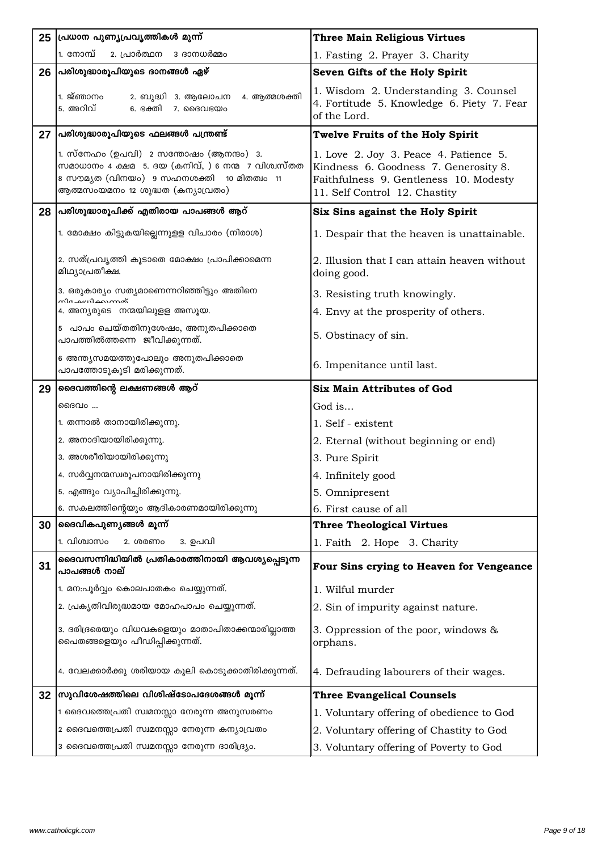| 25 | പ്രധാന പുണ്യപ്രവൃത്തികൾ മുന്ന്                                                                                                                                               | <b>Three Main Religious Virtues</b>                                                                                                                        |
|----|------------------------------------------------------------------------------------------------------------------------------------------------------------------------------|------------------------------------------------------------------------------------------------------------------------------------------------------------|
|    | 1. നോമ്പ്<br>2. പ്രാർത്ഥന 3 ദാനധർമ്മം                                                                                                                                        | 1. Fasting 2. Prayer 3. Charity                                                                                                                            |
| 26 | പരിശുദ്ധാരൂപിയുടെ ദാനങ്ങൾ ഏഴ്                                                                                                                                                | Seven Gifts of the Holy Spirit                                                                                                                             |
|    | 1. ജ്ഞാനം<br>2. ബുദ്ധി  3. ആലോചന<br>4. ആത്മശക്തി<br>5. അറിവ്<br>6. ഭക്തി<br>7. ദൈവഭയം                                                                                        | 1. Wisdom 2. Understanding 3. Counsel<br>4. Fortitude 5. Knowledge 6. Piety 7. Fear<br>of the Lord.                                                        |
| 27 | പരിശുദ്ധാരൂപിയുടെ ഫലങ്ങൾ പന്ത്രണ്ട്                                                                                                                                          | <b>Twelve Fruits of the Holy Spirit</b>                                                                                                                    |
|    | 1. സ്നേഹം (ഉപവി) 2 സന്തോഷം (ആനന്ദം) 3.<br>സമാധാനം 4 ക്ഷമ 5. ദയ (കനിവ്, ) 6 നന്മ 7 വിശ്വസ്തത<br>8 സൗമൃത (വിനയം) 9 സഹനശക്തി 10 മിതത്വം 11<br>ആത്മസംയമനം 12 ശുദ്ധത (കന്യാവ്രതം) | 1. Love 2. Joy 3. Peace 4. Patience 5.<br>Kindness 6. Goodness 7. Generosity 8.<br>Faithfulness 9. Gentleness 10. Modesty<br>11. Self Control 12. Chastity |
| 28 | പ്രരിശുദ്ധാരൂപിക്ക് എതിരായ പാപങ്ങൾ ആറ്                                                                                                                                       | Six Sins against the Holy Spirit                                                                                                                           |
|    | 1. മോക്ഷം കിട്ടുകയില്ലെന്നുളള വിചാരം (നിരാശ)                                                                                                                                 | 1. Despair that the heaven is unattainable.                                                                                                                |
|    | 2. സത്പ്രവൃത്തി കൂടാതെ മോക്ഷം പ്രാപിക്കാമെന്ന<br>മിഥ്യാപ്രതീക്ഷ.                                                                                                             | 2. Illusion that I can attain heaven without<br>doing good.                                                                                                |
|    | 3. ഒരുകാര്യം സത്യമാണെന്നറിഞ്ഞിട്ടും അതിനെ<br><b>സിരച്ച</b> ധി കറാന്നത്                                                                                                       | 3. Resisting truth knowingly.                                                                                                                              |
|    | 4. അന്യരുടെ നന്മയിലുളള അസൂയ.                                                                                                                                                 | 4. Envy at the prosperity of others.                                                                                                                       |
|    | 5 പാപം ചെയ്തതിനുശേഷം, അനുതപിക്കാതെ<br>പാപത്തിൽത്തന്നെ ജീവിക്കുന്നത്.                                                                                                         | 5. Obstinacy of sin.                                                                                                                                       |
|    | 6 അന്ത്യസമയത്തുപോലും അനുതപിക്കാതെ<br>പാപത്തോടൂകൂടി മരിക്കുന്നത്.                                                                                                             | 6. Impenitance until last.                                                                                                                                 |
| 29 | ദൈവത്തിന്റെ ലക്ഷണങ്ങൾ ആറ്                                                                                                                                                    | <b>Six Main Attributes of God</b>                                                                                                                          |
|    | ഭൈവം                                                                                                                                                                         | God is                                                                                                                                                     |
|    | 1. തന്നാൽ താനായിരിക്കുന്നു.                                                                                                                                                  | 1. Self - existent                                                                                                                                         |
|    | 2. അനാദിയായിരിക്കുന്നു.                                                                                                                                                      | 2. Eternal (without beginning or end)                                                                                                                      |
|    | 3. അശരീരിയായിരിക്കുന്നു                                                                                                                                                      | 3. Pure Spirit                                                                                                                                             |
|    | 4. സർവ്വനന്മസ്വരൂപനായിരിക്കുന്നു                                                                                                                                             | 4. Infinitely good                                                                                                                                         |
|    | 5. എങ്ങും വ്യാപിച്ചിരിക്കുന്നു.                                                                                                                                              | 5. Omnipresent                                                                                                                                             |
|    | 6. സകലത്തിന്റെയും ആദികാരണമായിരിക്കുന്നു                                                                                                                                      | 6. First cause of all                                                                                                                                      |
| 30 | ദൈവികപുണ്യങ്ങൾ മൂന്ന്                                                                                                                                                        | <b>Three Theological Virtues</b>                                                                                                                           |
|    | 1. വിശ്വാസം<br>3. ഉപവ <u>ി</u><br>2. ശരണം                                                                                                                                    | 1. Faith 2. Hope 3. Charity                                                                                                                                |
| 31 | ദൈവസന്നിദ്ധിയിൽ പ്രതികാരത്തിനായി ആവശ്യപ്പെടുന്ന<br>പാപങ്ങൾ നാല്                                                                                                              | Four Sins crying to Heaven for Vengeance                                                                                                                   |
|    | 1. മന:പൂർവ്വം കൊലപാതകം ചെയ്യുന്നത്.                                                                                                                                          | 1. Wilful murder                                                                                                                                           |
|    | 2. പ്രകൃതിവിരുദ്ധമായ മോഹപാപം ചെയ്യുന്നത്.                                                                                                                                    | 2. Sin of impurity against nature.                                                                                                                         |
|    | 3. ദരിദ്രരെയും വിധവകളെയും മാതാപിതാക്കന്മാരില്ലാത്ത<br>പൈതങ്ങളെയും പീഡിപ്പിക്കുന്നത്.                                                                                         | 3. Oppression of the poor, windows &<br>orphans.                                                                                                           |
|    | 4. വേലക്കാർക്കു ശരിയായ കൂലി കൊടുക്കാതിരിക്കുന്നത്.                                                                                                                           | 4. Defrauding labourers of their wages.                                                                                                                    |
| 32 | സുവിശേഷത്തിലെ വിശിഷ്ടോപദേശങ്ങൾ മൂന്ന്                                                                                                                                        | <b>Three Evangelical Counsels</b>                                                                                                                          |
|    | 1 ദൈവത്തെപ്രതി സ്വമനസ്സാ നേരുന്ന അനുസരണം                                                                                                                                     | 1. Voluntary offering of obedience to God                                                                                                                  |
|    | 2 ദൈവത്തെപ്രതി സ്വമനസ്സാ നേരുന്ന കന്യാവ്രതം                                                                                                                                  | 2. Voluntary offering of Chastity to God                                                                                                                   |
|    | 3 ദൈവത്തെപ്രതി സ്വമനസ്സാ നേരുന്ന ദാരിദ്ര്യം.                                                                                                                                 | 3. Voluntary offering of Poverty to God                                                                                                                    |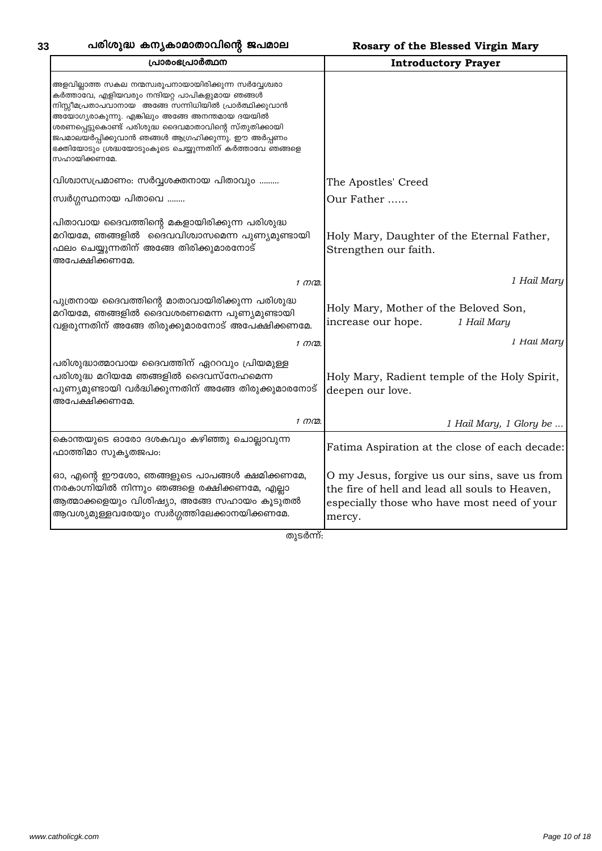| പ്രാരംഭപ്രാർത്ഥന                                                                                                                                                                                                                                                                                                                                                                                           | <b>Introductory Prayer</b>                                                                                                                               |
|------------------------------------------------------------------------------------------------------------------------------------------------------------------------------------------------------------------------------------------------------------------------------------------------------------------------------------------------------------------------------------------------------------|----------------------------------------------------------------------------------------------------------------------------------------------------------|
| അളവില്ലാത്ത സകല നന്മസ്വരൂപനായായിരിക്കുന്ന സർവ്വേശ്വരാ<br>കർത്താവേ, എളിയവരും നന്ദിയറ്റ പാപികളുമായ ഞങ്ങൾ<br>നിസ്സീമപ്രതാപവാനായ അങ്ങേ സന്നിധിയിൽ പ്രാർത്ഥിക്കുവാൻ<br>അയോഗ്യരാകുന്നു. എങ്കിലും അങ്ങേ അനന്തമായ ദയയിൽ<br>ശരണപ്പെട്ടുകൊണ്ട് പരിശുദ്ധ ദൈവമാതാവിന്റെ സ്തുതിക്കായി<br>ജപമാലയർപ്പിക്കുവാൻ ഞങ്ങൾ ആഗ്രഹിക്കുന്നു. ഈ അർപ്പണം<br>ഭക്തിയോടും ശ്രദ്ധയോടുംകൂടെ ചെയ്യുന്നതിന് കർത്താവേ ഞങ്ങളെ<br>സഹായിക്കണമേ. |                                                                                                                                                          |
| വിശ്വാസപ്രമാണം: സർവ്വശക്തനായ പിതാവും                                                                                                                                                                                                                                                                                                                                                                       | The Apostles' Creed                                                                                                                                      |
| സ്വർഗ്ഗസ്ഥനായ പിതാവെ                                                                                                                                                                                                                                                                                                                                                                                       | Our Father                                                                                                                                               |
| പിതാവായ ദൈവത്തിന്റെ മകളായിരിക്കുന്ന പരിശുദ്ധ<br>മറിയമേ, ഞങ്ങളിൽ ദൈവവിശ്വാസമെന്ന പുണ്യമുണ്ടായി<br>ഫലം ചെയ്യുന്നതിന് അങ്ങേ തിരിക്കുമാരനോട്<br>അപേക്ഷിക്കണമേ.                                                                                                                                                                                                                                                 | Holy Mary, Daughter of the Eternal Father,<br>Strengthen our faith.                                                                                      |
| 1 നന്മ.                                                                                                                                                                                                                                                                                                                                                                                                    | 1 Hail Mary                                                                                                                                              |
| പുത്രനായ ദൈവത്തിന്റെ മാതാവായിരിക്കുന്ന പരിശുദ്ധ<br>മറിയമേ, ഞങ്ങളിൽ ദൈവശരണമെന്ന പുണ്യമുണ്ടായി<br>വളരുന്നതിന് അങ്ങേ തിരുക്കുമാരനോട് അപേക്ഷിക്കണമേ.                                                                                                                                                                                                                                                           | Holy Mary, Mother of the Beloved Son,<br>increase our hope.<br>1 Hail Mary<br>1 Hail Mary                                                                |
| 1 നന്മ.<br>പരിശുദ്ധാത്മാവായ ദൈവത്തിന് ഏററവും പ്രിയമുള്ള<br>പരിശുദ്ധ മറിയമേ ഞങ്ങളിൽ ദൈവസ്നേഹമെന്ന<br>പുണ്യമുണ്ടായി വർദ്ധിക്കുന്നതിന് അങ്ങേ തിരുക്കുമാരനോട്<br>അപേക്ഷിക്കണമേ.<br>1 നന്മ.                                                                                                                                                                                                                     | Holy Mary, Radient temple of the Holy Spirit,<br>deepen our love.<br>1 Hail Mary, 1 Glory be                                                             |
| കൊന്തയുടെ ഓരോ ദശകവും കഴിഞ്ഞു ചൊല്ലാവുന്ന<br>ഫാത്തിമാ സുകൃതജപം:                                                                                                                                                                                                                                                                                                                                             | Fatima Aspiration at the close of each decade:                                                                                                           |
| ഓ, എന്റെ ഈശോ, ഞങ്ങളുടെ പാപങ്ങൾ ക്ഷമിക്കണമേ,<br>നരകാഗ്നിയിൽ നിന്നും ഞങ്ങളെ രക്ഷിക്കണമേ, എല്ലാ<br>ആത്മാക്കളെയും വിശിഷ്യാ, അങ്ങേ സഹായം കൂടുതൽ<br>ആവശ്യമുള്ളവരേയും സ്വർഗ്ഗത്തിലേക്കാനയിക്കണമേ.                                                                                                                                                                                                                 | O my Jesus, forgive us our sins, save us from<br>the fire of hell and lead all souls to Heaven,<br>especially those who have most need of your<br>mercy. |

തുടർന്ന്: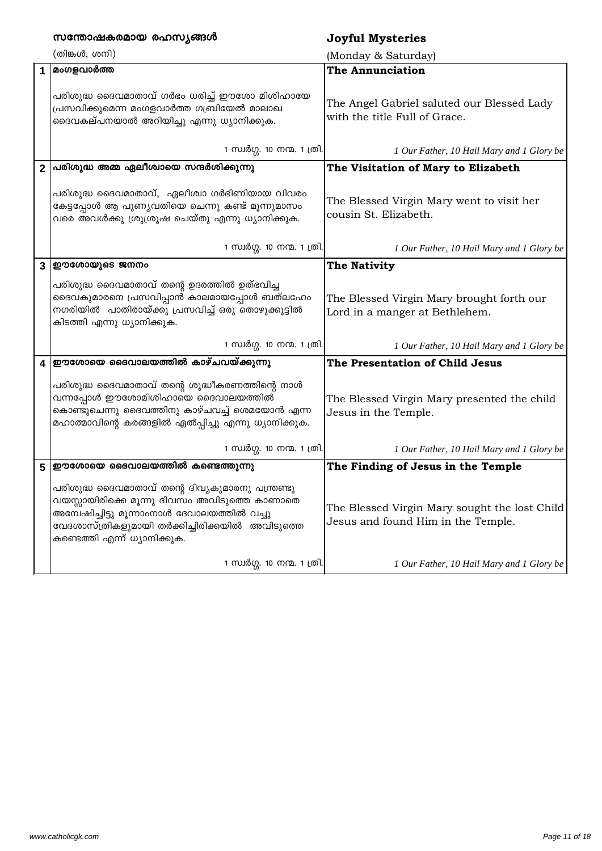|                         | സന്തോഷകരമായ രഹസ്യങ്ങൾ                                                                                                                                                                                                               | <b>Joyful Mysteries</b>                                                             |
|-------------------------|-------------------------------------------------------------------------------------------------------------------------------------------------------------------------------------------------------------------------------------|-------------------------------------------------------------------------------------|
|                         | (തിങ്കൾ, ശനി)                                                                                                                                                                                                                       | (Monday & Saturday)                                                                 |
| $\blacktriangleleft$    | മംഗളവാർത്ത                                                                                                                                                                                                                          | <b>The Annunciation</b>                                                             |
|                         | പരിശുദ്ധ ദൈവമാതാവ് ഗർഭം ധരിച്ച് ഈശോ മിശിഹായേ<br>പ്രസവിക്കുമെന്ന മംഗളവാർത്ത ഗബ്രിയേൽ മാലാഖ<br>ദൈവകല്പനയാൽ അറിയിച്ചു എന്നു ധ്യാനിക്കുക.                                                                                               | The Angel Gabriel saluted our Blessed Lady<br>with the title Full of Grace.         |
|                         | 1 സ്വർഗ്ഗ. 10 നന്മ. 1 ത്രി.                                                                                                                                                                                                         | 1 Our Father, 10 Hail Mary and 1 Glory be                                           |
| $\overline{2}$          | പരിശുദ്ധ അമ്മ ഏലീശ്വായെ സന്ദർശിക്കുന്നു                                                                                                                                                                                             | The Visitation of Mary to Elizabeth                                                 |
|                         | പരിശുദ്ധ ദൈവമാതാവ്, ഏലീശ്വാ ഗർഭിണിയായ വിവരം<br>കേട്ടപ്പോൾ ആ പുണ്യവതിയെ ചെന്നു കണ്ട് മൂന്നുമാസം<br>വരെ അവൾക്കു ശ്രുശ്രൂഷ ചെയ്തു എന്നു ധ്യാനിക്കുക.                                                                                   | The Blessed Virgin Mary went to visit her<br>cousin St. Elizabeth.                  |
|                         | 1 സ്വർഗ്ഗ. 10 നന്മ. 1 ത്രി.                                                                                                                                                                                                         | 1 Our Father, 10 Hail Mary and 1 Glory be                                           |
| $\overline{3}$          | ഈശോയുടെ ജനനം                                                                                                                                                                                                                        | The Nativity                                                                        |
|                         | പരിശുദ്ധ ദൈവമാതാവ് തന്റെ ഉദരത്തിൽ ഉത്ഭവിച്ച<br>ദൈവകുമാരനെ പ്രസവിപ്പാൻ കാലമായപ്പോൾ ബത്ലഹേം<br>നഗരിയിൽ പാതിരായ്ക്കു പ്രസവിച്ച് ഒരു തൊഴുക്കൂട്ടിൽ<br>കിടത്തി എന്നു ധ്യാനിക്കുക.                                                        | The Blessed Virgin Mary brought forth our<br>Lord in a manger at Bethlehem.         |
|                         | 1 സ്വർഗ്ഗ. 10 നന്മ. 1 ത്രി.                                                                                                                                                                                                         | 1 Our Father, 10 Hail Mary and 1 Glory be                                           |
| $\overline{\mathbf{4}}$ | ഈശോയെ ദൈവാലയത്തിൽ കാഴ്ചവയ്ക്കുന്നു                                                                                                                                                                                                  | The Presentation of Child Jesus                                                     |
|                         | പരിശുദ്ധ ദൈവമാതാവ് തന്റെ ശുദ്ധീകരണത്തിന്റെ നാൾ<br>വന്നപ്പോൾ ഈശോമിശിഹായെ ദൈവാലയത്തിൽ<br>കൊണ്ടുചെന്നു ദൈവത്തിനു കാഴ്ചവച്ച് ശെമയോൻ എന്ന<br>മഹാത്മാവിന്റെ കരങ്ങളിൽ ഏൽപ്പിച്ചു എന്നു ധ്യാനിക്കുക.                                        | The Blessed Virgin Mary presented the child<br>Jesus in the Temple.                 |
|                         | 1 സ്വർഗ്ഗ. 10 നന്മ. 1 ത്രി.                                                                                                                                                                                                         | 1 Our Father, 10 Hail Mary and 1 Glory be                                           |
| 5                       | ഈശോയെ ദൈവാലയത്തിൽ കണ്ടെത്തുന്നു                                                                                                                                                                                                     | The Finding of Jesus in the Temple                                                  |
|                         | പരിശുദ്ധ ദൈവമാതാവ് തന്റെ ദിവ്യകുമാരനു പന്ത്രണ്ടു<br>വയസ്സായിരിക്കെ മൂന്നു ദിവസം അവിടുത്തെ കാണാതെ<br>അമ്പേഷിച്ചിട്ടു മൂന്നാംനാൾ ദേവാലയത്തിൽ വച്ചു<br>വേദശാസ്ത്രികളുമായി തർക്കിച്ചിരിക്കയിൽ അവിടുത്തെ<br>കണ്ടെത്തി എന്ന് ധ്യാനിക്കുക. | The Blessed Virgin Mary sought the lost Child<br>Jesus and found Him in the Temple. |
|                         | 1 സ്വർഗ്ഗ. 10 നന്മ. 1 ത്രി.                                                                                                                                                                                                         | 1 Our Father, 10 Hail Mary and 1 Glory be                                           |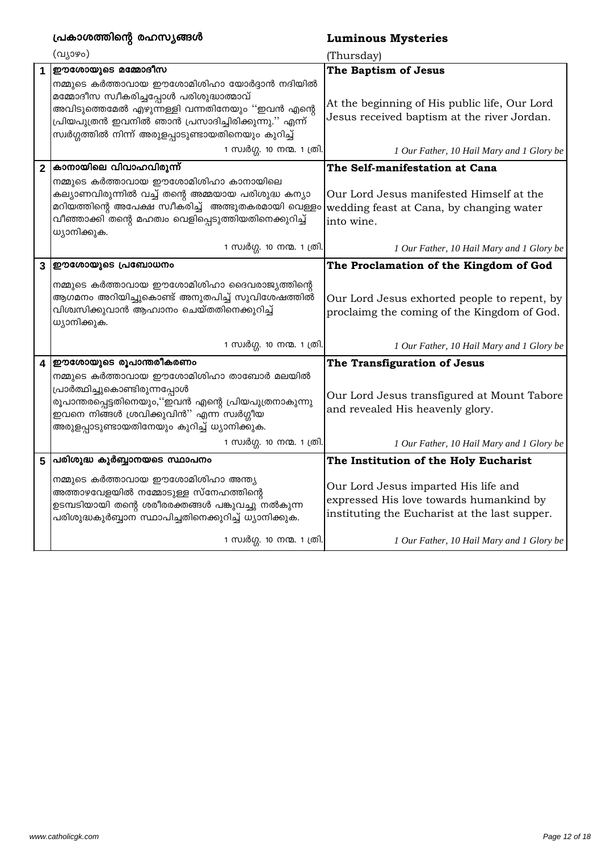|                         | പ്രകാശത്തിന്റെ രഹസ്യങ്ങൾ                                                                                                                                                                                                                                                | <b>Luminous Mysteries</b>                                                                                                        |
|-------------------------|-------------------------------------------------------------------------------------------------------------------------------------------------------------------------------------------------------------------------------------------------------------------------|----------------------------------------------------------------------------------------------------------------------------------|
|                         | (വ്യാഴം)                                                                                                                                                                                                                                                                | (Thursday)                                                                                                                       |
|                         | ഈശോയുടെ മമ്മോദീസ                                                                                                                                                                                                                                                        | The Baptism of Jesus                                                                                                             |
|                         | നമ്മുടെ കർത്താവായ ഈശോമിശിഹാ യോർദ്ദാൻ നദിയിൽ<br>മമ്മോദീസ സ്വീകരിച്ചപ്പോൾ പരിശുദ്ധാത്മാവ്<br>അവിടുത്തെമേൽ എഴുന്നള്ളി വന്നതിനേയും ''ഇവൻ എന്റെ<br>പ്രിയപുത്രൻ ഇവനിൽ ഞാൻ പ്രസാദിച്ചിരിക്കുന്നു.'' എന്ന <mark>്</mark><br>സ്വർഗ്ഗത്തിൽ നിന്ന് അരുളപ്പാടുണ്ടായതിനെയും കുറിച്ച് | At the beginning of His public life, Our Lord<br>Jesus received baptism at the river Jordan.                                     |
|                         | 1 സ്വർഗ്ഗ. 10 നന്മ. 1 ത്രി.                                                                                                                                                                                                                                             | 1 Our Father, 10 Hail Mary and 1 Glory be                                                                                        |
| $\overline{2}$          | കാനായിലെ വിവാഹവിരുന്ന്                                                                                                                                                                                                                                                  | The Self-manifestation at Cana                                                                                                   |
|                         | നമ്മുടെ കർത്താവായ ഈശോമിശിഹാ കാനായിലെ<br>കല്യാണവിരുന്നിൽ വച്ച് തന്റെ അമ്മയായ പരിശുദ്ധ കന്യാ<br>മറിയത്തിന്റെ അപേക്ഷ സ്വീകരിച്ച്   അത്ഭുതകരമായി വെള്ളം<br>വീഞ്ഞാക്കി തന്റെ മഹത്വം വെളിപ്പെടുത്തിയതിനെക്കുറിച്ച്<br>ധ്യാനിക്കുക.                                            | Our Lord Jesus manifested Himself at the<br>wedding feast at Cana, by changing water<br>into wine.                               |
|                         | 1 സ്വർഗ്ഗ. 10 നന്മ. 1 ത്രി.                                                                                                                                                                                                                                             | 1 Our Father, 10 Hail Mary and 1 Glory be                                                                                        |
| $\mathbf{3}$            | ഈശോയുടെ പ്രബോധനം                                                                                                                                                                                                                                                        | The Proclamation of the Kingdom of God                                                                                           |
|                         | നമ്മുടെ കർത്താവായ ഈശോമിശിഹാ ദൈവരാജ്യത്തിന്റെ<br>ആഗമനം അറിയിച്ചുകൊണ്ട് അനുതപിച്ച് സുവിശേഷത്തിൽ<br>വിശ്വസിക്കുവാൻ ആഹ്വാനം ചെയ്തതിനെക്കുറിച്ച്<br>ധ്യാനിക്കുക.                                                                                                             | Our Lord Jesus exhorted people to repent, by<br>proclaimg the coming of the Kingdom of God.                                      |
|                         | 1 സ്വർഗ്ഗ. 10 നന്മ. 1 ത്രി.                                                                                                                                                                                                                                             | 1 Our Father, 10 Hail Mary and 1 Glory be                                                                                        |
| $\overline{\mathbf{4}}$ | ഈശോയുടെ രൂപാന്തരീകരണം                                                                                                                                                                                                                                                   | The Transfiguration of Jesus                                                                                                     |
|                         | നമ്മുടെ കർത്താവായ ഈശോമിശിഹാ താബോർ മലയിൽ<br>പ്രാർത്ഥിച്ചുകൊണ്ടിരുന്നപ്പോൾ<br>രൂപാന്തരപ്പെട്ടതിനെയും,''ഇവൻ എന്റെ പ്രിയപുത്രനാകുന്നു<br>ഇവനെ നിങ്ങൾ ശ്രവിക്കുവിൻ'' എന്ന സ്വർഗ്ഗീയ<br>അരുളപ്പാടുണ്ടായതിനേയും കുറിച്ച് ധ്യാനിക്കുക.                                          | Our Lord Jesus transfigured at Mount Tabore<br>and revealed His heavenly glory.                                                  |
|                         | 1 സ്വർഗ്ഗ. 10 നന്മ. 1 ത്രി.                                                                                                                                                                                                                                             | 1 Our Father, 10 Hail Mary and 1 Glory be                                                                                        |
|                         | 5  പരിശുദ്ധ കുർബ്ബാനയടെ സ്ഥാപനം                                                                                                                                                                                                                                         | The Institution of the Holy Eucharist                                                                                            |
|                         | നമ്മുടെ കർത്താവായ ഈശോമിശിഹാ അന്ത്യ<br>അത്താഴവേളയിൽ നമ്മോടുള്ള സ്നേഹത്തിന്റെ<br>ഉടമ്പടിയായി തന്റെ ശരീരരക്തങ്ങൾ പങ്കുവച്ചു നൽകുന്ന<br>പരിശുദ്ധകുർബ്ബാന സ്ഥാപിച്ചതിനെക്കുറിച്ച് ധ്യാനിക്കുക.                                                                               | Our Lord Jesus imparted His life and<br>expressed His love towards humankind by<br>instituting the Eucharist at the last supper. |
|                         | 1 സ്വർഗ്ഗ. 10 നന്മ. 1 ത്രി.                                                                                                                                                                                                                                             | 1 Our Father, 10 Hail Mary and 1 Glory be                                                                                        |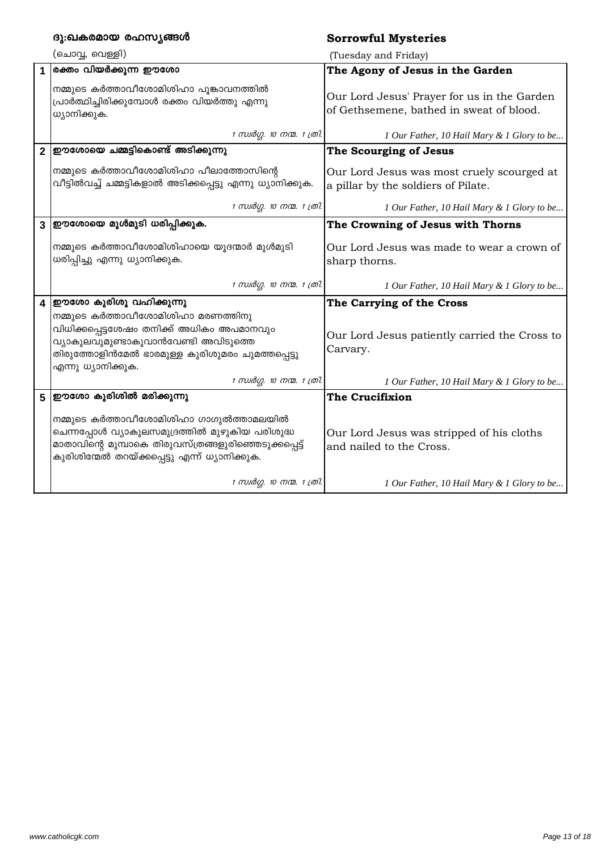|                         | ദു:ഖകരമായ രഹസ്യങ്ങൾ                                                                                                                                                                                             | <b>Sorrowful Mysteries</b>                                                              |
|-------------------------|-----------------------------------------------------------------------------------------------------------------------------------------------------------------------------------------------------------------|-----------------------------------------------------------------------------------------|
|                         | (ചൊവ്വ, വെള്ളി)                                                                                                                                                                                                 | (Tuesday and Friday)                                                                    |
| 1                       | രക്തം വിയർക്കുന്ന ഈശോ                                                                                                                                                                                           | The Agony of Jesus in the Garden                                                        |
|                         | നമ്മുടെ കർത്താവീശോമിശിഹാ പൂങ്കാവനത്തിൽ<br>പ്രാർത്ഥിച്ചിരിക്കുമ്പോൾ രക്തം വിയർത്തു എന്നു<br>ധ്യാനിക്കുക.                                                                                                         | Our Lord Jesus' Prayer for us in the Garden<br>of Gethsemene, bathed in sweat of blood. |
|                         | 1 സ്വർഗ്ഗ. 10 നന്മ. 1 ത്രി.                                                                                                                                                                                     | 1 Our Father, 10 Hail Mary & 1 Glory to be                                              |
| $\overline{2}$          | ഈശോയെ ചമ്മട്ടികൊണ്ട് അടിക്കുന്നു                                                                                                                                                                                | The Scourging of Jesus                                                                  |
|                         | നമ്മുടെ കർത്താവീശോമിശിഹാ പീലാത്തോസിന്റെ<br>വീട്ടിൽവച്ച് ചമ്മട്ടികളാൽ അടിക്കപ്പെട്ടു എന്നു ധ്യാനിക്കുക.                                                                                                          | Our Lord Jesus was most cruely scourged at<br>a pillar by the soldiers of Pilate.       |
|                         | 1 സ്വർഗ്ഗ. 10 നന്മ. 1 ത്രി.                                                                                                                                                                                     | 1 Our Father, 10 Hail Mary & 1 Glory to be                                              |
|                         | 3  ഈശോയെ മുൾമുടി ധരിപ്പിക്കുക.                                                                                                                                                                                  | The Crowning of Jesus with Thorns                                                       |
|                         | നമ്മുടെ കർത്താവീശോമിശിഹായെ യൂദന്മാർ മുൾമുടി<br>ധരിപ്പിച്ചു എന്നു ധ്യാനിക്കുക.                                                                                                                                   | Our Lord Jesus was made to wear a crown of<br>sharp thorns.                             |
|                         | 1 സ്വർഗ്ഗ. 10 നന്മ. 1 ത്രി.                                                                                                                                                                                     | 1 Our Father, 10 Hail Mary & 1 Glory to be                                              |
| $\overline{\mathbf{4}}$ | ഈശോ കുരിശു വഹിക്കുന്നു                                                                                                                                                                                          | The Carrying of the Cross                                                               |
|                         | നമ്മുടെ കർത്താവീശോമിശിഹാ മരണത്തിനു<br>വിധിക്കപ്പെട്ടശേഷം തനിക്ക് അധികം അപമാനവും<br>വ്യാകുലവുമുണ്ടാകുവാൻവേണ്ടി അവിടുത്ത <mark>െ</mark><br>തിരുത്തോളിൻമേൽ ഭാരമുള്ള കുരിശുമരം ചുമത്തപ്പെട്ടു<br>എന്നു ധ്യാനിക്കുക. | Our Lord Jesus patiently carried the Cross to<br>Carvary.                               |
|                         | 1 സ്വർഗ്ഗ. 10 നന്മ. 1 ത്രി.                                                                                                                                                                                     | 1 Our Father, 10 Hail Mary & 1 Glory to be                                              |
|                         | 5  ഈശോ കുരിശിൽ മരിക്കുന്നു                                                                                                                                                                                      | The Crucifixion                                                                         |
|                         | നമ്മുടെ കർത്താവീശോമിശിഹാ ഗാഗുൽത്താമലയിൽ<br>ചെന്നപ്പോൾ വ്യാകുലസമുദ്രത്തിൽ മുഴുകിയ പരിശുദ്ധ<br>മാതാവിന്റെ മുമ്പാകെ തിരുവസ്ത്രങ്ങളുരിഞ്ഞെടുക്കപ്പെട്ട്<br>കുരിശിന്മേൽ തറയ്ക്കപ്പെട്ടു എന്ന് ധ്യാനിക്കുക.           | Our Lord Jesus was stripped of his cloths<br>and nailed to the Cross.                   |
|                         | 1 സ്വർഗ്ഗ. 10 നന്മ. 1 ത്രി.                                                                                                                                                                                     | 1 Our Father, 10 Hail Mary & 1 Glory to be                                              |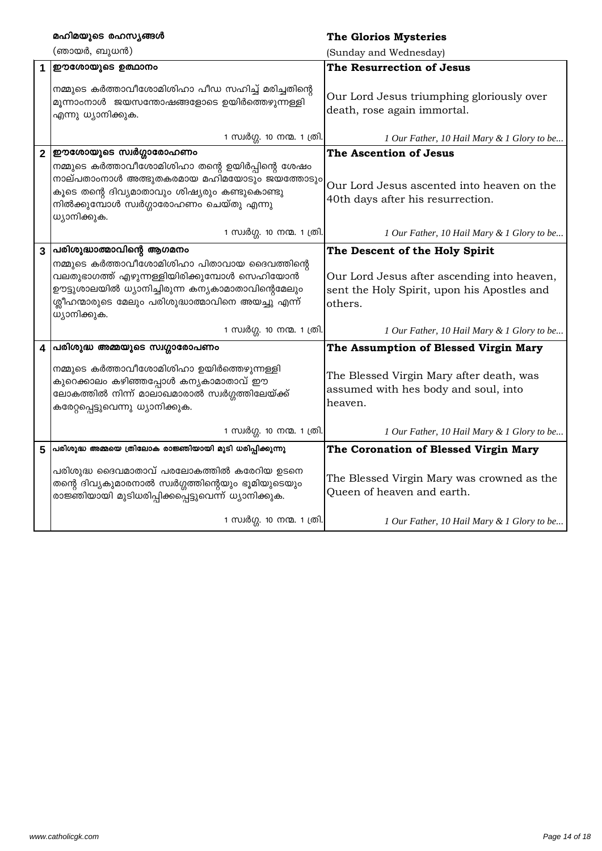|                         | മഹിമയുടെ രഹസ്യങ്ങൾ                                                                                                                                                                                                                                  | <b>The Glorios Mysteries</b>                                                                                                            |
|-------------------------|-----------------------------------------------------------------------------------------------------------------------------------------------------------------------------------------------------------------------------------------------------|-----------------------------------------------------------------------------------------------------------------------------------------|
|                         | (ഞായർ, ബുധൻ)                                                                                                                                                                                                                                        | (Sunday and Wednesday)                                                                                                                  |
| $\mathbf{1}$            | ഈശോയുടെ ഉത്ഥാനം                                                                                                                                                                                                                                     | The Resurrection of Jesus                                                                                                               |
|                         | നമ്മുടെ കർത്താവീശോമിശിഹാ പീഡ സഹിച്ച് മരിച്ചതിന്റെ<br>മൂന്നാംനാൾ ജയസന്തോഷങ്ങളോടെ ഉയിർത്തെഴുന്നള്ളി<br>എന്നു ധ്യാനിക്കുക.                                                                                                                             | Our Lord Jesus triumphing gloriously over<br>death, rose again immortal.                                                                |
|                         | 1 സ്വർഗ്ഗ. 10 നന്മ. 1 ത്രി.                                                                                                                                                                                                                         | 1 Our Father, 10 Hail Mary & 1 Glory to be                                                                                              |
| $\overline{2}$          | ഈശോയുടെ സ്വർഗ്ഗാരോഹണം                                                                                                                                                                                                                               | The Ascention of Jesus                                                                                                                  |
|                         | നമ്മുടെ കർത്താവീശോമിശിഹാ തന്റെ ഉയിർപ്പിന്റെ ശേഷം<br>നാല്പതാംനാൾ അത്ഭുതകരമായ മഹിമയോടും ജയത്തോടും<br>കൂടെ തന്റെ ദിവ്യമാതാവും ശിഷ്യരും കണ്ടുകൊണ്ടു<br>നിൽക്കുമ്പോൾ സ്വർഗ്ഗാരോഹണം ചെയ്തു എന്നു<br>ധ്യാനിക്കുക.                                          | Our Lord Jesus ascented into heaven on the<br>40th days after his resurrection.                                                         |
|                         | 1 സ്വർഗ്ഗ. 10 നന്മ. 1 ത്രി.                                                                                                                                                                                                                         | 1 Our Father, 10 Hail Mary & 1 Glory to be                                                                                              |
| $\mathbf{3}$            | പരിശുദ്ധാത്മാവിന്റെ ആഗമനം<br>നമ്മുടെ കർത്താവീശോമിശിഹാ പിതാവായ ദൈവത്തിന്റെ<br>വലതുഭാഗത്ത് എഴുന്നള്ളിയിരിക്കുമ്പോൾ സെഹിയോൻ<br>ഊട്ടുശാലയിൽ ധ്യാനിച്ചിരുന്ന കന്യകാമാതാവിന്റെമേലും<br>ശ്ലീഹന്മാരുടെ മേലും പരിശുദ്ധാത്മാവിനെ അയച്ചു എന്ന്<br>ധ്യാനിക്കുക. | The Descent of the Holy Spirit<br>Our Lord Jesus after ascending into heaven,<br>sent the Holy Spirit, upon his Apostles and<br>others. |
|                         | 1 സ്വർഗ്ഗ. 10 നന്മ. 1 ത്രി.                                                                                                                                                                                                                         | 1 Our Father, 10 Hail Mary & 1 Glory to be                                                                                              |
| $\overline{\mathbf{4}}$ | പരിശുദ്ധ അമ്മയുടെ സ്വഗ്ഗാരോപണം                                                                                                                                                                                                                      | The Assumption of Blessed Virgin Mary                                                                                                   |
|                         | നമ്മുടെ കർത്താവീശോമിശിഹാ ഉയിർത്തെഴുന്നള്ളി<br>കുറെക്കാലം കഴിഞ്ഞപ്പോൾ കന്യകാമാതാവ് ഈ<br>ലോകത്തിൽ നിന്ന് മാലാഖമാരാൽ സ്വർഗ്ഗത്തിലേയ്ക്ക്<br>കരേറ്റപ്പെട്ടുവെന്നു ധ്യാനിക്കുക.                                                                          | The Blessed Virgin Mary after death, was<br>assumed with hes body and soul, into<br>heaven.                                             |
|                         | 1 സ്വർഗ്ഗ. 10 നന്മ. 1 ത്രി.                                                                                                                                                                                                                         | 1 Our Father, 10 Hail Mary & 1 Glory to be                                                                                              |
| 5                       | പരിശുദ്ധ അമ്മയെ ത്രിലോക രാജ്ഞിയായി മുടി ധരിപ്പിക്കുന്നു                                                                                                                                                                                             | The Coronation of Blessed Virgin Mary                                                                                                   |
|                         | പരിശുദ്ധ ദൈവമാതാവ് പരലോകത്തിൽ കരേറിയ ഉടനെ<br>തന്റെ ദിവ്യകുമാരനാൽ സ്വർഗ്ഗത്തിന്റെയും ഭൂമിയുടെയും<br>രാജ്ഞിയായി മുടിധരിപ്പിക്കപ്പെട്ടുവെന്ന് ധ്യാനിക്കുക.                                                                                             | The Blessed Virgin Mary was crowned as the<br>Queen of heaven and earth.                                                                |
|                         | 1 സ്വർഗ്ഗ. 10 നന്മ. 1 ത്രി.                                                                                                                                                                                                                         | 1 Our Father, 10 Hail Mary & 1 Glory to be                                                                                              |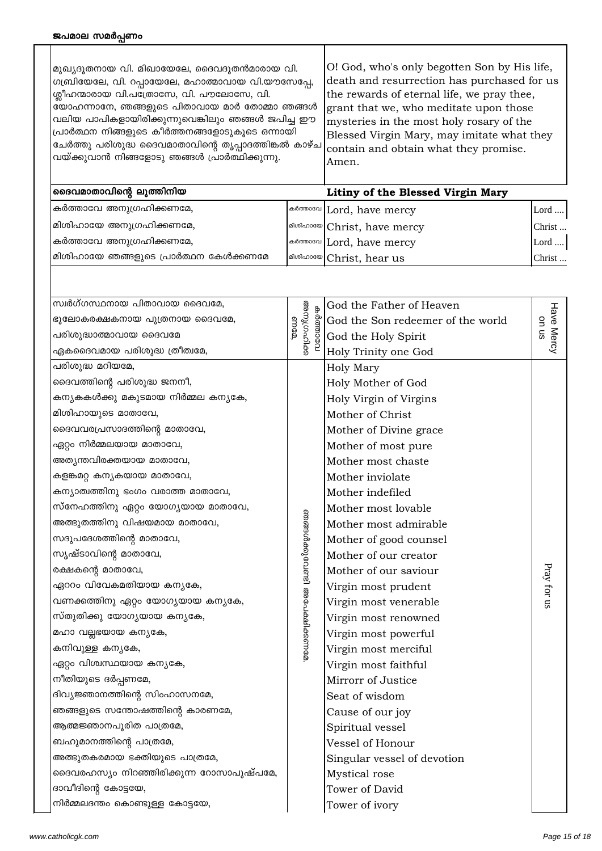| മ്പ്രവ്യരുതനായ വി. മിഖായേലേ, ദൈവദൂതൻമാരായ വി.                        | [O! God, who's only begotten Son by His life, |
|----------------------------------------------------------------------|-----------------------------------------------|
| ഗബ്രിയേലേ, വി. റപ്പായേലേ, മഹാത്മാവായ വി.യൗസേപ്പേ,                    | death and resurrection has purchased for us   |
| ശ്ലീഹന്മാരായ വി.പത്രോസേ, വി. പൗലോസേ, വി.                             | the rewards of eternal life, we pray thee,    |
| യോഹന്നാനേ, ഞങ്ങളുടെ പിതാവായ മാർ തോമ്മാ ഞങ്ങൾ                         | grant that we, who meditate upon those        |
| വലിയ പാപികളായിരിക്കുന്നുവെങ്കിലും ഞങ്ങൾ ജപിച്ച ഈ                     | mysteries in the most holy rosary of the      |
| പ്രാർത്ഥന നിങ്ങളുടെ കീർത്തനങ്ങളോടുകൂടെ ഒന്നായി                       | Blessed Virgin Mary, may imitate what they    |
| $\vert$ ചേർത്തു പരിശുദ്ധ ദൈവമാതാവിന്റെ തൃപ്പാദത്തിങ്കൽ കാഴ്ച $\vert$ | contain and obtain what they promise.         |
| വയ്ക്കുവാൻ നിങ്ങളോടു ഞങ്ങൾ പ്രാർത്ഥിക്കുന്നു.                        | Amen.                                         |

| ദൈവമാതാവിന്റെ ലുത്തിനിയ               | Litiny of the Blessed Virgin Mary   |        |
|---------------------------------------|-------------------------------------|--------|
| കർത്താവേ അനുഗ്രഹിക്കണമേ,              | <b>Boom</b> son Lord, have mercy    | Lord   |
| മിശിഹായേ അനുഗ്രഹിക്കണമേ,              | altolanosco Christ, have mercy      | Christ |
| കർത്താവേ അനുഗ്രഹിക്കണമേ,              | <b>Andronomial</b> Lord, have mercy | Lord   |
| മിശിഹായേ ഞങ്ങളുടെ പ്രാർത്ഥന കേൾക്കണമേ | alcoloosaw Christ, hear us          | Christ |

| സ്വർഗ്ഗസ്ഥനായ പിതാവായ ദൈവമേ,            |                                    | God the Father of Heaven          |                     |
|-----------------------------------------|------------------------------------|-----------------------------------|---------------------|
| ഭൂലോകരക്ഷകനായ പുത്രനായ ദൈവമേ,           | ക്കിവവുത്ത<br>ക<br>ാമായമാക<br>emea | God the Son redeemer of the world | Have Mercy<br>on us |
| പരിശുദ്ധാത്മാവായ ദൈവമേ                  |                                    | God the Holy Spirit               |                     |
| ഏകദൈവമായ പരിശുദ്ധ ത്രീത്വമേ,            |                                    | Holy Trinity one God              |                     |
| പരിശുദ്ധ മറിയമേ,                        |                                    | Holy Mary                         |                     |
| ദൈവത്തിന്റെ പരിശുദ്ധ ജനനീ,              |                                    | Holy Mother of God                |                     |
| കന്യകകൾക്കു മകുടമായ നിർമ്മല കന്യകേ,     |                                    | Holy Virgin of Virgins            |                     |
| മിശിഹായുടെ മാതാവേ,                      |                                    | Mother of Christ                  |                     |
| ദൈവവരപ്രസാദത്തിന്റെ മാതാവേ,             |                                    | Mother of Divine grace            |                     |
| ഏറ്റം നിർമ്മലയായ മാതാവേ,                |                                    | Mother of most pure               |                     |
| അത്യന്തവിരക്തയായ മാതാവേ,                |                                    | Mother most chaste                |                     |
| കളങ്കമറ്റ കന്യകയായ മാതാവേ,              |                                    | Mother inviolate                  |                     |
| കന്യാത്വത്തിനു ഭംഗം വരാത്ത മാതാവേ,      |                                    | Mother indefiled                  |                     |
| സ്നേഹത്തിനു ഏറ്റം യോഗ്യയായ മാതാവേ,      |                                    | Mother most lovable               |                     |
| അത്ഭുതത്തിനു വിഷയമായ മാതാവേ,            | ഞങ്ങൾക്കുവേണ്ടി അപേക്ഷിക്കണമേ      | Mother most admirable             |                     |
| സദുപദേശത്തിന്റെ മാതാവേ,                 |                                    | Mother of good counsel            |                     |
| സൃഷ്ടാവിന്റെ മാതാവേ,                    |                                    | Mother of our creator             |                     |
| രക്ഷകന്റെ മാതാവേ,                       |                                    | Mother of our saviour             |                     |
| ഏററം വിവേകമതിയായ കന്യകേ,                |                                    | Virgin most prudent               | Pray for us         |
| വണക്കത്തിനു ഏറ്റം യോഗ്യയായ കന്യകേ,      |                                    | Virgin most venerable             |                     |
| സ്തുതിക്കു യോഗ്യയായ കന്യകേ,             |                                    | Virgin most renowned              |                     |
| മഹാ വല്ലഭയായ കന്യകേ,                    |                                    | Virgin most powerful              |                     |
| കനിവുള്ള കന്യകേ,                        |                                    | Virgin most merciful              |                     |
| ഏറ്റം വിശ്വസ്ഥയായ കന്യകേ,               |                                    | Virgin most faithful              |                     |
| നീതിയുടെ ദർപ്പണമേ,                      |                                    | Mirrorr of Justice                |                     |
| ദിവ്യജ്ഞാനത്തിന്റെ സിംഹാസനമേ,           |                                    | Seat of wisdom                    |                     |
| ഞങ്ങളുടെ സന്തോഷത്തിന്റെ കാരണമേ,         |                                    | Cause of our joy                  |                     |
| ആത്മജ്ഞാനപൂരിത പാത്രമേ,                 |                                    | Spiritual vessel                  |                     |
| ബഹുമാനത്തിന്റെ പാത്രമേ,                 |                                    | Vessel of Honour                  |                     |
| അത്ഭുതകരമായ ഭക്തിയുടെ പാത്രമേ,          |                                    | Singular vessel of devotion       |                     |
| ദൈവരഹസ്യം നിറഞ്ഞിരിക്കുന്ന റോസാപുഷ്പമേ, |                                    | Mystical rose                     |                     |
| ദാവീദിന്റെ കോട്ടയേ,                     |                                    | Tower of David                    |                     |
| നിർമ്മലദന്തം കൊണ്ടുള്ള കോട്ടയേ,         |                                    | Tower of ivory                    |                     |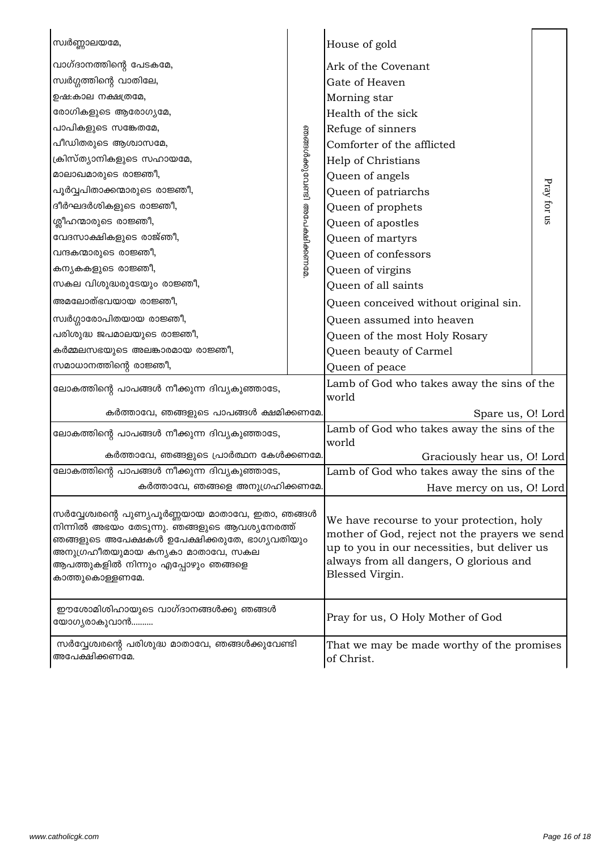| സ്വർണ്ണാലയമേ,                                                                                                                                                                                                                                   |                               | House of gold                                                                                                                                                                                            |             |
|-------------------------------------------------------------------------------------------------------------------------------------------------------------------------------------------------------------------------------------------------|-------------------------------|----------------------------------------------------------------------------------------------------------------------------------------------------------------------------------------------------------|-------------|
| വാഗ്ദാനത്തിന്റെ പേടകമേ,                                                                                                                                                                                                                         |                               | Ark of the Covenant                                                                                                                                                                                      |             |
| സ്വർഗ്ഗത്തിന്റെ വാതിലേ,                                                                                                                                                                                                                         |                               | Gate of Heaven                                                                                                                                                                                           |             |
| ഉഷ:കാല നക്ഷത്രമേ,                                                                                                                                                                                                                               |                               | Morning star                                                                                                                                                                                             |             |
| രോഗികളുടെ ആരോഗ്യമേ,                                                                                                                                                                                                                             |                               | Health of the sick                                                                                                                                                                                       | Pray for us |
| പാപികളുടെ സങ്കേതമേ,                                                                                                                                                                                                                             | ഞങ്ങൾക്കുവേണ്ടി അപേക്ഷിക്കണമേ | Refuge of sinners                                                                                                                                                                                        |             |
| പീഡിതരുടെ ആശ്വാസമേ,                                                                                                                                                                                                                             |                               | Comforter of the afflicted                                                                                                                                                                               |             |
| ക്രിസ്ത്യാനികളുടെ സഹായമേ,                                                                                                                                                                                                                       |                               | Help of Christians                                                                                                                                                                                       |             |
| മാലാഖമാരുടെ രാജ്ഞീ,                                                                                                                                                                                                                             |                               | Queen of angels                                                                                                                                                                                          |             |
| പൂർവ്വപിതാക്കന്മാരുടെ രാജ്ഞീ,                                                                                                                                                                                                                   |                               | Queen of patriarchs                                                                                                                                                                                      |             |
| ദീർഘദർശികളുടെ രാജ്ഞീ,                                                                                                                                                                                                                           |                               | Queen of prophets                                                                                                                                                                                        |             |
| ശ്ലീഹന്മാരുടെ രാജ്ഞീ,                                                                                                                                                                                                                           |                               | Queen of apostles                                                                                                                                                                                        |             |
| വേദസാക്ഷികളുടെ രാജ്ഞീ,                                                                                                                                                                                                                          |                               | Queen of martyrs                                                                                                                                                                                         |             |
| വന്ദകന്മാരുടെ രാജ്ഞീ,                                                                                                                                                                                                                           |                               | Queen of confessors                                                                                                                                                                                      |             |
| കന്യകകളുടെ രാജ്ഞീ,                                                                                                                                                                                                                              |                               | Queen of virgins                                                                                                                                                                                         |             |
| സകല വിശുദ്ധരുടേയും രാജ്ഞീ,                                                                                                                                                                                                                      |                               | Queen of all saints                                                                                                                                                                                      |             |
| അമലോത്ഭവയായ രാജ്ഞീ,                                                                                                                                                                                                                             |                               | Queen conceived without original sin.                                                                                                                                                                    |             |
| സ്വർഗ്ഗാരോപിതയായ രാജ്ഞീ,                                                                                                                                                                                                                        |                               | Queen assumed into heaven                                                                                                                                                                                |             |
| പരിശുദ്ധ ജപമാലയുടെ രാജ്ഞീ,                                                                                                                                                                                                                      |                               | Queen of the most Holy Rosary                                                                                                                                                                            |             |
| കർമ്മലസഭയുടെ അലങ്കാരമായ രാജ്ഞീ,                                                                                                                                                                                                                 |                               | Queen beauty of Carmel                                                                                                                                                                                   |             |
| സമാധാനത്തിന്റെ രാജ്ഞീ,                                                                                                                                                                                                                          |                               | Queen of peace                                                                                                                                                                                           |             |
| ലോകത്തിന്റെ പാപങ്ങൾ നീക്കുന്ന ദിവ്യകുഞ്ഞാടേ,                                                                                                                                                                                                    |                               | Lamb of God who takes away the sins of the<br>world                                                                                                                                                      |             |
| കർത്താവേ, ഞങ്ങളുടെ പാപങ്ങൾ ക്ഷമിക്കണമേ.                                                                                                                                                                                                         |                               | Spare us, O! Lord                                                                                                                                                                                        |             |
| ലോകത്തിന്റെ പാപങ്ങൾ നീക്കുന്ന ദിവ്യകുഞ്ഞാടേ,                                                                                                                                                                                                    |                               | Lamb of God who takes away the sins of the<br>world                                                                                                                                                      |             |
| കർത്താവേ, ഞങ്ങളുടെ പ്രാർത്ഥന കേൾക്കണമേ.                                                                                                                                                                                                         |                               | Graciously hear us, O! Lord                                                                                                                                                                              |             |
| ലോകത്തിന്റെ പാപങ്ങൾ നീക്കുന്ന ദിവ്യകുഞ്ഞാടേ,                                                                                                                                                                                                    |                               | Lamb of God who takes away the sins of the                                                                                                                                                               |             |
| കർത്താവേ, ഞങ്ങളെ അനുഗ്രഹിക്കണമേ.                                                                                                                                                                                                                |                               | Have mercy on us, O! Lord                                                                                                                                                                                |             |
| സർവ്വേശ്വരന്റെ പുണ്യപൂർണ്ണയായ മാതാവേ, ഇതാ, ഞങ്ങൾ<br>നിന്നിൽ അഭയം തേടുന്നു. ഞങ്ങളുടെ ആവശ്യനേരത്ത്<br>ഞങ്ങളുടെ അപേക്ഷകൾ ഉപേക്ഷിക്കരുതേ, ഭാഗ്യവതിയും<br>അനുഗ്രഹീതയുമായ കന്യകാ മാതാവേ, സകല<br>ആപത്തുകളിൽ നിന്നും എപ്പോഴും ഞങ്ങളെ<br>കാത്തുകൊള്ളണമേ. |                               | We have recourse to your protection, holy<br>mother of God, reject not the prayers we send<br>up to you in our necessities, but deliver us<br>always from all dangers, O glorious and<br>Blessed Virgin. |             |
| ഈശോമിശിഹായുടെ വാഗ്ദാനങ്ങൾക്കു ഞങ്ങൾ<br>യോഗൃരാകുവാൻ                                                                                                                                                                                              |                               | Pray for us, O Holy Mother of God                                                                                                                                                                        |             |
| സർവ്വേശ്വരന്റെ പരിശുദ്ധ മാതാവേ, ഞങ്ങൾക്കുവേണ്ടി<br>അപേക്ഷിക്കണമേ.                                                                                                                                                                               |                               | That we may be made worthy of the promises<br>of Christ.                                                                                                                                                 |             |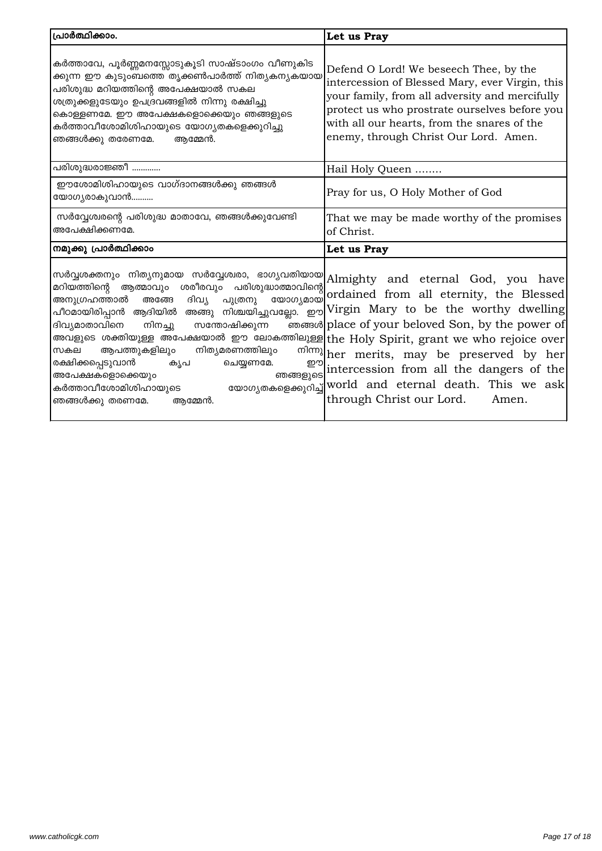| പ്രാർത്ഥിക്കാം.                                                                                                                                                                                                                                                                                                                                                                                                                                                                                                                                                                                                                                                                                                                    | Let us Pray                                                                                                                                                                                                                                                                          |
|------------------------------------------------------------------------------------------------------------------------------------------------------------------------------------------------------------------------------------------------------------------------------------------------------------------------------------------------------------------------------------------------------------------------------------------------------------------------------------------------------------------------------------------------------------------------------------------------------------------------------------------------------------------------------------------------------------------------------------|--------------------------------------------------------------------------------------------------------------------------------------------------------------------------------------------------------------------------------------------------------------------------------------|
| കർത്താവേ, പൂർണ്ണമനസ്സോടുകൂടി സാഷ്ടാംഗം വീണുകിട<br>ക്കുന്ന ഈ കുടുംബത്തെ തൃക്കൺപാർത്ത് നിത <mark>ൃകനൃകയായ</mark><br>പരിശുദ്ധ മറിയത്തിന്റെ അപേക്ഷയാൽ സകല<br>ശത്രുക്കളുടേയും ഉപദ്രവങ്ങളിൽ നിന്നു രക്ഷിച്ചു<br>കൊള്ളണമേ. ഈ അപേക്ഷകളൊക്കെയും ഞങ്ങളുടെ<br>കർത്താവീശോമിശിഹായുടെ യോഗ്യതകളെക്കുറിച്ചു<br>ഞങ്ങൾക്കു തരേണമേ.<br>ആമ്മേൻ.                                                                                                                                                                                                                                                                                                                                                                                                        | Defend O Lord! We beseech Thee, by the<br>intercession of Blessed Mary, ever Virgin, this<br>your family, from all adversity and mercifully<br>protect us who prostrate ourselves before you<br>with all our hearts, from the snares of the<br>enemy, through Christ Our Lord. Amen. |
| പരിശുദ്ധരാജ്ഞീ                                                                                                                                                                                                                                                                                                                                                                                                                                                                                                                                                                                                                                                                                                                     | Hail Holy Queen                                                                                                                                                                                                                                                                      |
| ഈശോമിശിഹായുടെ വാഗ്ദാനങ്ങൾക്കു ഞങ്ങൾ<br>യോഗ്യരാകുവാൻ                                                                                                                                                                                                                                                                                                                                                                                                                                                                                                                                                                                                                                                                                | Pray for us, O Holy Mother of God                                                                                                                                                                                                                                                    |
| സർവ്വേശ്വരന്റെ പരിശുദ്ധ മാതാവേ, ഞങ്ങൾക്കുവേണ്ടി<br>അപേക്ഷിക്കണമേ.                                                                                                                                                                                                                                                                                                                                                                                                                                                                                                                                                                                                                                                                  | That we may be made worthy of the promises<br>of Christ.                                                                                                                                                                                                                             |
| നമുക്കു പ്രാർത്ഥിക്കാം                                                                                                                                                                                                                                                                                                                                                                                                                                                                                                                                                                                                                                                                                                             | Let us Pray                                                                                                                                                                                                                                                                          |
| സർവ്വശക്തനും നിത്യനുമായ സർവ്വേശ്വരാ, ഭാഗ്യവതിയായ $\left  {\rm Almighty} \right $ and eternal God, you have<br>മറിയത്തിന്റെ ആത്മാവും ശരീരവും പരിശുദ്ധാത്മാവിന്റെ<br>യോഗ്യമായ<br>അനുഗ്രഹത്താൽ<br>ദിവ്യ പുത്രനു<br>അങ്ങേ<br>പീഠമായിരിപ്പാൻ ആദിയിൽ അങ്ങു നിശ്ചയിച്ചുവല്ലോ. ഈ $\left  \mathrm{Virgin} \right.$ Mary to be the worthy $\mathrm{dwelling}$<br>ദിവ്യമാതാവിനെ<br>നിനച്ചു<br>സന്തോഷിക്കുന്ന<br>അവളുടെ ശക്തിയുള്ള അപേക്ഷയാൽ ഈ ലോകത്തിലുള്ള the Holy Spirit, grant we who rejoice over<br>സകല ആപത്തുകളിലും നിത്യമരണത്തിലും<br>രക്ഷിക്കപ്പെടുവാൻ<br>ചെയ്യണമേ.<br>കൃപ<br>അപേക്ഷകളൊക്കെയും<br>കർത്താവീശോമിശിഹായുടെ യോഗൃതകളെക്കുറിച്ച് $ {\rm world\ }$ and <code>eternal death. This we ask</code><br>ഞങ്ങൾക്കു തരണമേ.<br>ആമ്മേൻ. | ordained from all eternity, the Blessed<br>ഞങ്ങൾ place of your beloved Son, by the power of<br>mlm) her merits, may be preserved by her<br>momonglession from all the dangers of the<br>through Christ our Lord.<br>Amen.                                                            |